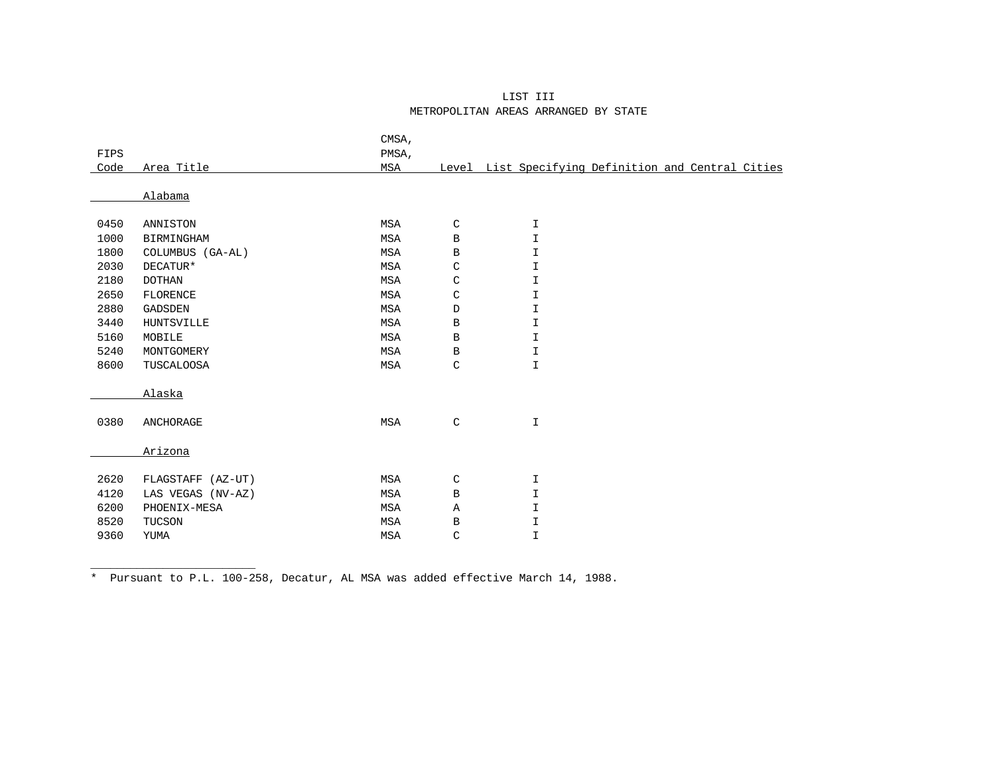## LIST III METROPOLITAN AREAS ARRANGED BY STATE

|      |                   | CMSA,      |              |                                                     |
|------|-------------------|------------|--------------|-----------------------------------------------------|
| FIPS |                   | PMSA,      |              |                                                     |
| Code | Area Title        | MSA        |              | Level List Specifying Definition and Central Cities |
|      |                   |            |              |                                                     |
|      | Alabama           |            |              |                                                     |
| 0450 | ANNISTON          | MSA        | $\mathsf C$  | $\mathbf I$                                         |
| 1000 | BIRMINGHAM        | MSA        | $\, {\bf B}$ | $\mathbbm{I}$                                       |
| 1800 | COLUMBUS (GA-AL)  | MSA        | $\, {\bf B}$ | $\mathbbm{I}$                                       |
| 2030 | DECATUR*          | MSA        | C            | $\mathbbm{I}$                                       |
| 2180 | <b>DOTHAN</b>     | MSA        | C            | I                                                   |
| 2650 | FLORENCE          | MSA        | $\mathsf C$  | $\mathbbm{I}$                                       |
| 2880 | <b>GADSDEN</b>    | <b>MSA</b> | $\mathbb D$  | I                                                   |
| 3440 | <b>HUNTSVILLE</b> | MSA        | $\, {\bf B}$ | I                                                   |
| 5160 | MOBILE            | MSA        | $\, {\bf B}$ | $\mathbbm{I}$                                       |
| 5240 | MONTGOMERY        | MSA        | $\, {\bf B}$ | I                                                   |
| 8600 | TUSCALOOSA        | MSA        | $\mathsf C$  | $\mathbbm{I}$                                       |
|      |                   |            |              |                                                     |
|      | Alaska            |            |              |                                                     |
|      |                   |            |              |                                                     |
| 0380 | ANCHORAGE         | MSA        | $\mathsf C$  | I                                                   |
|      |                   |            |              |                                                     |
|      | Arizona           |            |              |                                                     |
|      |                   |            |              |                                                     |
| 2620 | FLAGSTAFF (AZ-UT) | MSA        | $\mathsf C$  | $\mathbbm{I}$                                       |
| 4120 | LAS VEGAS (NV-AZ) | MSA        | $\, {\bf B}$ | I                                                   |
| 6200 | PHOENIX-MESA      | MSA        | Α            | I                                                   |
| 8520 | TUCSON            | MSA        | В            | $\mathbbm{I}$                                       |
| 9360 | YUMA              | MSA        | $\mathsf C$  | I                                                   |
|      |                   |            |              |                                                     |

\* Pursuant to P.L. 100-258, Decatur, AL MSA was added effective March 14, 1988.

\_\_\_\_\_\_\_\_\_\_\_\_\_\_\_\_\_\_\_\_\_\_\_\_\_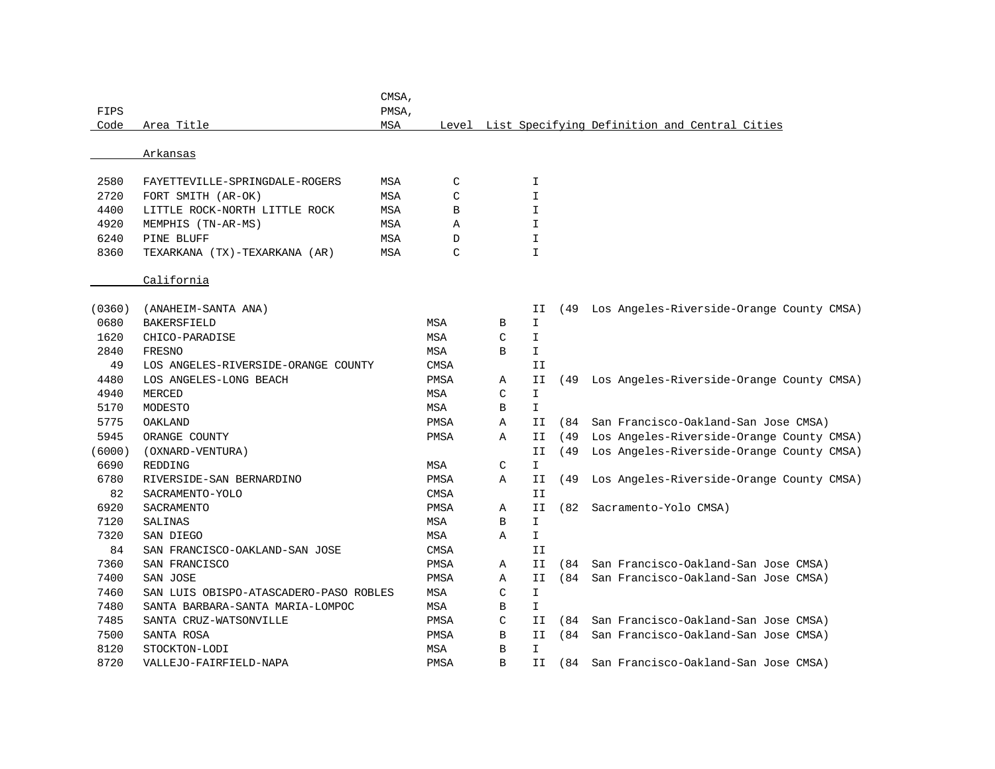| FIPS   |                                        | CMSA,<br>PMSA, |             |   |              |      |                                                     |
|--------|----------------------------------------|----------------|-------------|---|--------------|------|-----------------------------------------------------|
| Code   | Area Title                             | MSA            |             |   |              |      | Level List Specifying Definition and Central Cities |
|        | Arkansas                               |                |             |   |              |      |                                                     |
| 2580   | FAYETTEVILLE-SPRINGDALE-ROGERS         | MSA            | C           |   | I            |      |                                                     |
| 2720   | FORT SMITH (AR-OK)                     | MSA            | C           |   | $\mathbb{I}$ |      |                                                     |
| 4400   | LITTLE ROCK-NORTH LITTLE ROCK          | MSA            | B           |   | I            |      |                                                     |
| 4920   | MEMPHIS (TN-AR-MS)                     | MSA            | Α           |   | $\mathbf I$  |      |                                                     |
| 6240   | PINE BLUFF                             | MSA            | D           |   | $\mathbf I$  |      |                                                     |
| 8360   | TEXARKANA (TX)-TEXARKANA (AR)          | MSA            | C           |   | $\mathbf I$  |      |                                                     |
|        | California                             |                |             |   |              |      |                                                     |
| (0360) | (ANAHEIM-SANTA ANA)                    |                |             |   | II           |      | (49 Los Angeles-Riverside-Orange County CMSA)       |
| 0680   | <b>BAKERSFIELD</b>                     |                | MSA         | В | I.           |      |                                                     |
| 1620   | CHICO-PARADISE                         |                | MSA         | C | I            |      |                                                     |
| 2840   | <b>FRESNO</b>                          |                | MSA         | B | I.           |      |                                                     |
| 49     | LOS ANGELES-RIVERSIDE-ORANGE COUNTY    |                | CMSA        |   | II           |      |                                                     |
| 4480   | LOS ANGELES-LONG BEACH                 |                | PMSA        | Α | II           | (49  | Los Angeles-Riverside-Orange County CMSA)           |
| 4940   | <b>MERCED</b>                          |                | <b>MSA</b>  | C | $\mathbf{I}$ |      |                                                     |
| 5170   | MODESTO                                |                | MSA         | В | I.           |      |                                                     |
| 5775   | OAKLAND                                |                | PMSA        | Α | II           |      | (84 San Francisco-Oakland-San Jose CMSA)            |
| 5945   | ORANGE COUNTY                          |                | <b>PMSA</b> | Α | II           |      | (49 Los Angeles-Riverside-Orange County CMSA)       |
| (6000) | (OXNARD-VENTURA)                       |                |             |   | IΙ           | (49  | Los Angeles-Riverside-Orange County CMSA)           |
| 6690   | <b>REDDING</b>                         |                | MSA         | C | $\mathbb{I}$ |      |                                                     |
| 6780   | RIVERSIDE-SAN BERNARDINO               |                | <b>PMSA</b> | Α | II           | (49  | Los Angeles-Riverside-Orange County CMSA)           |
| 82     | SACRAMENTO-YOLO                        |                | <b>CMSA</b> |   | II           |      |                                                     |
| 6920   | SACRAMENTO                             |                | PMSA        | Α | II           | (82) | Sacramento-Yolo CMSA)                               |
| 7120   | SALINAS                                |                | MSA         | B | I.           |      |                                                     |
| 7320   | SAN DIEGO                              |                | MSA         | Α | I            |      |                                                     |
| 84     | SAN FRANCISCO-OAKLAND-SAN JOSE         |                | <b>CMSA</b> |   | II           |      |                                                     |
| 7360   | SAN FRANCISCO                          |                | PMSA        | Α | IΙ           | 684) | San Francisco-Oakland-San Jose CMSA)                |
| 7400   | SAN JOSE                               |                | PMSA        | Α | II           |      | (84 San Francisco-Oakland-San Jose CMSA)            |
| 7460   | SAN LUIS OBISPO-ATASCADERO-PASO ROBLES |                | MSA         | C | $\mathbf I$  |      |                                                     |
| 7480   | SANTA BARBARA-SANTA MARIA-LOMPOC       |                | MSA         | B | $\mathbf{I}$ |      |                                                     |
| 7485   | SANTA CRUZ-WATSONVILLE                 |                | PMSA        | C | II           | 684) | San Francisco-Oakland-San Jose CMSA)                |
| 7500   | SANTA ROSA                             |                | PMSA        | B | II.          |      | (84 San Francisco-Oakland-San Jose CMSA)            |
| 8120   | STOCKTON-LODI                          |                | MSA         | B | $\mathbf I$  |      |                                                     |
| 8720   | VALLEJO-FAIRFIELD-NAPA                 |                | PMSA        | R | II           | (84  | San Francisco-Oakland-San Jose CMSA)                |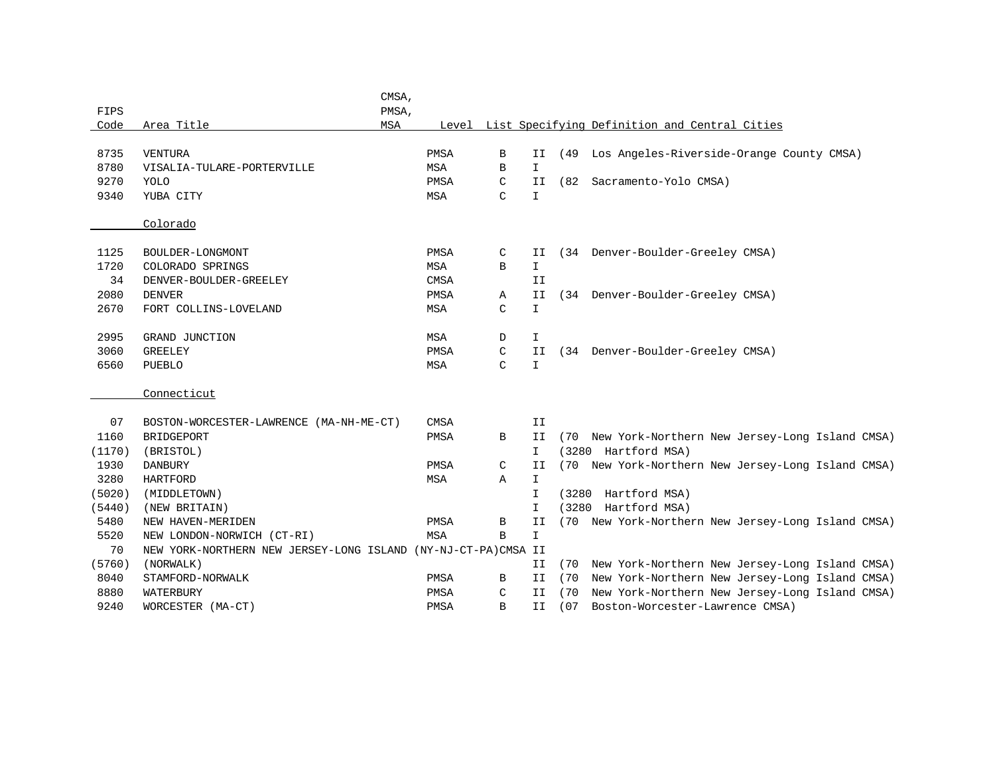|        |                                                               | CMSA,      |             |               |               |        |                                                     |
|--------|---------------------------------------------------------------|------------|-------------|---------------|---------------|--------|-----------------------------------------------------|
| FIPS   |                                                               | PMSA,      |             |               |               |        |                                                     |
| Code   | Area Title                                                    | <b>MSA</b> |             |               |               |        | Level List Specifying Definition and Central Cities |
|        |                                                               |            |             |               |               |        |                                                     |
| 8735   | <b>VENTURA</b>                                                |            | PMSA        | B             | IΙ            | (49    | Los Angeles-Riverside-Orange County CMSA)           |
| 8780   | VISALIA-TULARE-PORTERVILLE                                    |            | <b>MSA</b>  | $\mathbf B$   | $\mathbf{I}$  |        |                                                     |
| 9270   | YOLO                                                          |            | PMSA        | C             | II            | (82    | Sacramento-Yolo CMSA)                               |
| 9340   | YUBA CITY                                                     |            | <b>MSA</b>  | $\mathcal{C}$ | $\mathbb T$   |        |                                                     |
|        |                                                               |            |             |               |               |        |                                                     |
|        | Colorado                                                      |            |             |               |               |        |                                                     |
|        |                                                               |            |             |               |               |        |                                                     |
| 1125   | BOULDER-LONGMONT                                              |            | <b>PMSA</b> | C             | II            |        | (34 Denver-Boulder-Greeley CMSA)                    |
| 1720   | COLORADO SPRINGS                                              |            | MSA         | B             | $\mathbf I$   |        |                                                     |
| 34     | DENVER-BOULDER-GREELEY                                        |            | <b>CMSA</b> |               | II            |        |                                                     |
| 2080   | <b>DENVER</b>                                                 |            | PMSA        | Α             | II            |        | (34 Denver-Boulder-Greeley CMSA)                    |
| 2670   | FORT COLLINS-LOVELAND                                         |            | MSA         | C             | $\mathbf I$   |        |                                                     |
|        |                                                               |            |             |               |               |        |                                                     |
| 2995   | GRAND JUNCTION                                                |            | MSA         | D             | I             |        |                                                     |
| 3060   | <b>GREELEY</b>                                                |            | <b>PMSA</b> | C             | II            |        | (34 Denver-Boulder-Greeley CMSA)                    |
| 6560   | PUEBLO                                                        |            | MSA         | C             | $\mathbf{I}$  |        |                                                     |
|        |                                                               |            |             |               |               |        |                                                     |
|        | Connecticut                                                   |            |             |               |               |        |                                                     |
|        |                                                               |            |             |               |               |        |                                                     |
| 07     | BOSTON-WORCESTER-LAWRENCE (MA-NH-ME-CT)                       |            | <b>CMSA</b> |               | II            |        |                                                     |
| 1160   | BRIDGEPORT                                                    |            | PMSA        | B             | II            | (70    | New York-Northern New Jersey-Long Island CMSA)      |
| (1170) | (BRISTOL)                                                     |            |             |               | I.            |        | (3280 Hartford MSA)                                 |
| 1930   | <b>DANBURY</b>                                                |            | <b>PMSA</b> | C             | II            |        | (70 New York-Northern New Jersey-Long Island CMSA)  |
| 3280   | <b>HARTFORD</b>                                               |            | MSA         | Α             | I             |        |                                                     |
| (5020) | (MIDDLETOWN)                                                  |            |             |               | I.            | (3280  | Hartford MSA)                                       |
| (5440) | (NEW BRITAIN)                                                 |            |             |               | $\mathbf I$   | (3280) | Hartford MSA)                                       |
| 5480   | NEW HAVEN-MERIDEN                                             |            | <b>PMSA</b> | B             | II            |        | (70 New York-Northern New Jersey-Long Island CMSA)  |
| 5520   | NEW LONDON-NORWICH (CT-RI)                                    |            | <b>MSA</b>  | B             | $\mathbbm{I}$ |        |                                                     |
| 70     | NEW YORK-NORTHERN NEW JERSEY-LONG ISLAND (NY-NJ-CT-PA)CMSA II |            |             |               |               |        |                                                     |
| (5760) | (NORWALK)                                                     |            |             |               | II.           |        | (70 New York-Northern New Jersey-Long Island CMSA)  |
| 8040   | STAMFORD-NORWALK                                              |            | PMSA        | B             | IΙ            |        | (70 New York-Northern New Jersey-Long Island CMSA)  |
| 8880   | WATERBURY                                                     |            | PMSA        | C             | II            | (70    | New York-Northern New Jersey-Long Island CMSA)      |
| 9240   | WORCESTER (MA-CT)                                             |            | PMSA        | $\mathbf B$   | II            | (07)   | Boston-Worcester-Lawrence CMSA)                     |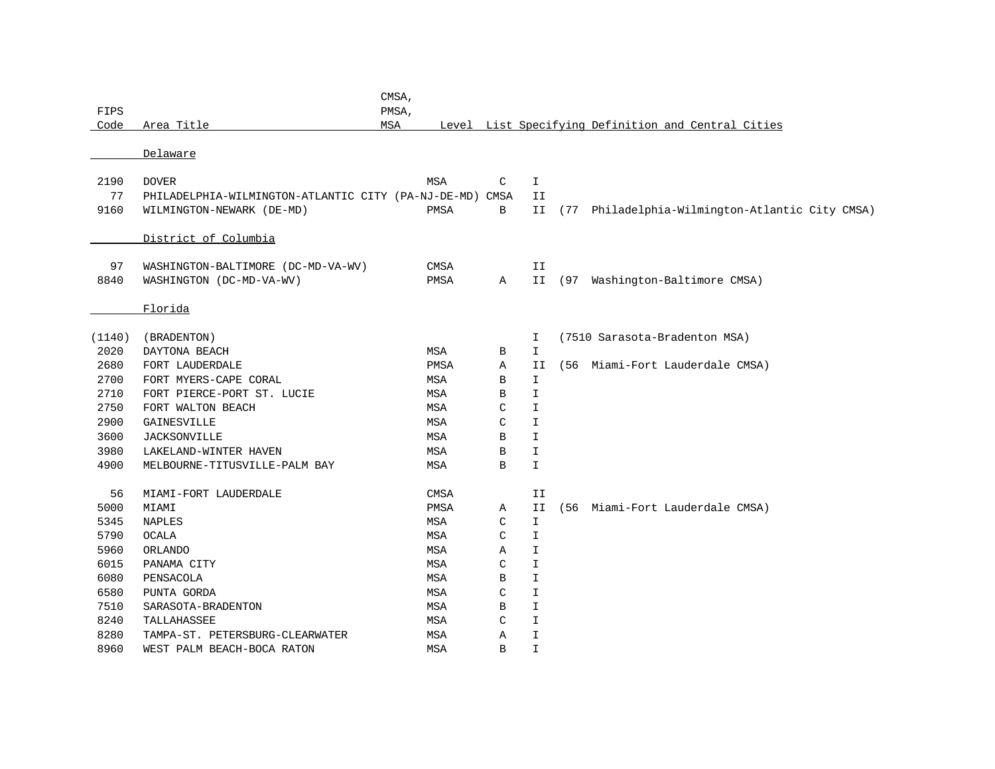| PMSA,<br>Code<br>Area Title<br>Level List Specifying Definition and Central Cities<br>MSA<br>Delaware<br>2190<br><b>DOVER</b><br><b>MSA</b><br>C<br>$\mathbbm{1}$<br>77<br>PHILADELPHIA-WILMINGTON-ATLANTIC CITY (PA-NJ-DE-MD)<br>CMSA<br>II<br>9160<br>PMSA<br>B<br>Philadelphia-Wilmington-Atlantic City CMSA)<br>WILMINGTON-NEWARK (DE-MD)<br>II<br>(77<br>District of Columbia<br>97<br>CMSA<br>WASHINGTON-BALTIMORE (DC-MD-VA-WV)<br>II<br>8840<br>(97 Washington-Baltimore CMSA)<br>WASHINGTON (DC-MD-VA-WV)<br>PMSA<br>II.<br>Α<br>Florida<br>(7510 Sarasota-Bradenton MSA)<br>(BRADENTON)<br>I<br>2020<br>$\mathbf I$<br>DAYTONA BEACH<br>MSA<br>В<br>2680<br>(56 Miami-Fort Lauderdale CMSA)<br>FORT LAUDERDALE<br>PMSA<br>Α<br>II<br>2700<br>FORT MYERS-CAPE CORAL<br>B<br>$\mathbf{I}$<br>MSA<br>2710<br>FORT PIERCE-PORT ST. LUCIE<br>MSA<br>B<br>$\mathbf I$<br>2750<br>C<br>I<br>FORT WALTON BEACH<br>MSA<br>2900<br>$\mathsf C$<br>$\mathbbm{I}$<br>MSA<br>GAINESVILLE<br>3600<br>MSA<br>$\, {\bf B}$<br>I<br><b>JACKSONVILLE</b><br>3980<br>I<br>LAKELAND-WINTER HAVEN<br>MSA<br>B<br>4900<br>$\, {\bf B}$<br>I<br>MELBOURNE-TITUSVILLE-PALM BAY<br>MSA<br>56<br>MIAMI-FORT LAUDERDALE<br>CMSA<br>II<br>5000<br>II<br>MIAMI<br>PMSA<br>Α<br>(56<br>Miami-Fort Lauderdale CMSA)<br>5345<br>$\mathsf{C}$<br><b>NAPLES</b><br>MSA<br>$\mathbf{I}$<br>5790<br>$\mathbbm{I}$<br><b>OCALA</b><br>MSA<br>C<br>5960<br>MSA<br>I<br>ORLANDO<br>Α<br>6015<br>$\mathsf C$<br>$\mathbbm{I}$<br>PANAMA CITY<br>MSA<br>6080<br>PENSACOLA<br>MSA<br>B<br>I<br>6580<br>PUNTA GORDA<br>C<br>I<br>MSA<br>7510<br>$\, {\bf B}$<br>I<br>SARASOTA-BRADENTON<br>MSA<br>8240<br>C<br>I<br>TALLAHASSEE<br>MSA<br>8280<br>I<br>TAMPA-ST. PETERSBURG-CLEARWATER<br>Α<br>MSA<br>$\mathbf I$<br>B |        |                            | CMSA, |     |  |  |
|---------------------------------------------------------------------------------------------------------------------------------------------------------------------------------------------------------------------------------------------------------------------------------------------------------------------------------------------------------------------------------------------------------------------------------------------------------------------------------------------------------------------------------------------------------------------------------------------------------------------------------------------------------------------------------------------------------------------------------------------------------------------------------------------------------------------------------------------------------------------------------------------------------------------------------------------------------------------------------------------------------------------------------------------------------------------------------------------------------------------------------------------------------------------------------------------------------------------------------------------------------------------------------------------------------------------------------------------------------------------------------------------------------------------------------------------------------------------------------------------------------------------------------------------------------------------------------------------------------------------------------------------------------------------------------------------------------------------------------------------------------------------------------------|--------|----------------------------|-------|-----|--|--|
|                                                                                                                                                                                                                                                                                                                                                                                                                                                                                                                                                                                                                                                                                                                                                                                                                                                                                                                                                                                                                                                                                                                                                                                                                                                                                                                                                                                                                                                                                                                                                                                                                                                                                                                                                                                       | FIPS   |                            |       |     |  |  |
|                                                                                                                                                                                                                                                                                                                                                                                                                                                                                                                                                                                                                                                                                                                                                                                                                                                                                                                                                                                                                                                                                                                                                                                                                                                                                                                                                                                                                                                                                                                                                                                                                                                                                                                                                                                       |        |                            |       |     |  |  |
|                                                                                                                                                                                                                                                                                                                                                                                                                                                                                                                                                                                                                                                                                                                                                                                                                                                                                                                                                                                                                                                                                                                                                                                                                                                                                                                                                                                                                                                                                                                                                                                                                                                                                                                                                                                       |        |                            |       |     |  |  |
|                                                                                                                                                                                                                                                                                                                                                                                                                                                                                                                                                                                                                                                                                                                                                                                                                                                                                                                                                                                                                                                                                                                                                                                                                                                                                                                                                                                                                                                                                                                                                                                                                                                                                                                                                                                       |        |                            |       |     |  |  |
|                                                                                                                                                                                                                                                                                                                                                                                                                                                                                                                                                                                                                                                                                                                                                                                                                                                                                                                                                                                                                                                                                                                                                                                                                                                                                                                                                                                                                                                                                                                                                                                                                                                                                                                                                                                       |        |                            |       |     |  |  |
|                                                                                                                                                                                                                                                                                                                                                                                                                                                                                                                                                                                                                                                                                                                                                                                                                                                                                                                                                                                                                                                                                                                                                                                                                                                                                                                                                                                                                                                                                                                                                                                                                                                                                                                                                                                       |        |                            |       |     |  |  |
|                                                                                                                                                                                                                                                                                                                                                                                                                                                                                                                                                                                                                                                                                                                                                                                                                                                                                                                                                                                                                                                                                                                                                                                                                                                                                                                                                                                                                                                                                                                                                                                                                                                                                                                                                                                       |        |                            |       |     |  |  |
|                                                                                                                                                                                                                                                                                                                                                                                                                                                                                                                                                                                                                                                                                                                                                                                                                                                                                                                                                                                                                                                                                                                                                                                                                                                                                                                                                                                                                                                                                                                                                                                                                                                                                                                                                                                       |        |                            |       |     |  |  |
|                                                                                                                                                                                                                                                                                                                                                                                                                                                                                                                                                                                                                                                                                                                                                                                                                                                                                                                                                                                                                                                                                                                                                                                                                                                                                                                                                                                                                                                                                                                                                                                                                                                                                                                                                                                       |        |                            |       |     |  |  |
|                                                                                                                                                                                                                                                                                                                                                                                                                                                                                                                                                                                                                                                                                                                                                                                                                                                                                                                                                                                                                                                                                                                                                                                                                                                                                                                                                                                                                                                                                                                                                                                                                                                                                                                                                                                       |        |                            |       |     |  |  |
|                                                                                                                                                                                                                                                                                                                                                                                                                                                                                                                                                                                                                                                                                                                                                                                                                                                                                                                                                                                                                                                                                                                                                                                                                                                                                                                                                                                                                                                                                                                                                                                                                                                                                                                                                                                       |        |                            |       |     |  |  |
|                                                                                                                                                                                                                                                                                                                                                                                                                                                                                                                                                                                                                                                                                                                                                                                                                                                                                                                                                                                                                                                                                                                                                                                                                                                                                                                                                                                                                                                                                                                                                                                                                                                                                                                                                                                       |        |                            |       |     |  |  |
|                                                                                                                                                                                                                                                                                                                                                                                                                                                                                                                                                                                                                                                                                                                                                                                                                                                                                                                                                                                                                                                                                                                                                                                                                                                                                                                                                                                                                                                                                                                                                                                                                                                                                                                                                                                       |        |                            |       |     |  |  |
|                                                                                                                                                                                                                                                                                                                                                                                                                                                                                                                                                                                                                                                                                                                                                                                                                                                                                                                                                                                                                                                                                                                                                                                                                                                                                                                                                                                                                                                                                                                                                                                                                                                                                                                                                                                       | (1140) |                            |       |     |  |  |
|                                                                                                                                                                                                                                                                                                                                                                                                                                                                                                                                                                                                                                                                                                                                                                                                                                                                                                                                                                                                                                                                                                                                                                                                                                                                                                                                                                                                                                                                                                                                                                                                                                                                                                                                                                                       |        |                            |       |     |  |  |
|                                                                                                                                                                                                                                                                                                                                                                                                                                                                                                                                                                                                                                                                                                                                                                                                                                                                                                                                                                                                                                                                                                                                                                                                                                                                                                                                                                                                                                                                                                                                                                                                                                                                                                                                                                                       |        |                            |       |     |  |  |
|                                                                                                                                                                                                                                                                                                                                                                                                                                                                                                                                                                                                                                                                                                                                                                                                                                                                                                                                                                                                                                                                                                                                                                                                                                                                                                                                                                                                                                                                                                                                                                                                                                                                                                                                                                                       |        |                            |       |     |  |  |
|                                                                                                                                                                                                                                                                                                                                                                                                                                                                                                                                                                                                                                                                                                                                                                                                                                                                                                                                                                                                                                                                                                                                                                                                                                                                                                                                                                                                                                                                                                                                                                                                                                                                                                                                                                                       |        |                            |       |     |  |  |
|                                                                                                                                                                                                                                                                                                                                                                                                                                                                                                                                                                                                                                                                                                                                                                                                                                                                                                                                                                                                                                                                                                                                                                                                                                                                                                                                                                                                                                                                                                                                                                                                                                                                                                                                                                                       |        |                            |       |     |  |  |
|                                                                                                                                                                                                                                                                                                                                                                                                                                                                                                                                                                                                                                                                                                                                                                                                                                                                                                                                                                                                                                                                                                                                                                                                                                                                                                                                                                                                                                                                                                                                                                                                                                                                                                                                                                                       |        |                            |       |     |  |  |
|                                                                                                                                                                                                                                                                                                                                                                                                                                                                                                                                                                                                                                                                                                                                                                                                                                                                                                                                                                                                                                                                                                                                                                                                                                                                                                                                                                                                                                                                                                                                                                                                                                                                                                                                                                                       |        |                            |       |     |  |  |
|                                                                                                                                                                                                                                                                                                                                                                                                                                                                                                                                                                                                                                                                                                                                                                                                                                                                                                                                                                                                                                                                                                                                                                                                                                                                                                                                                                                                                                                                                                                                                                                                                                                                                                                                                                                       |        |                            |       |     |  |  |
|                                                                                                                                                                                                                                                                                                                                                                                                                                                                                                                                                                                                                                                                                                                                                                                                                                                                                                                                                                                                                                                                                                                                                                                                                                                                                                                                                                                                                                                                                                                                                                                                                                                                                                                                                                                       |        |                            |       |     |  |  |
|                                                                                                                                                                                                                                                                                                                                                                                                                                                                                                                                                                                                                                                                                                                                                                                                                                                                                                                                                                                                                                                                                                                                                                                                                                                                                                                                                                                                                                                                                                                                                                                                                                                                                                                                                                                       |        |                            |       |     |  |  |
|                                                                                                                                                                                                                                                                                                                                                                                                                                                                                                                                                                                                                                                                                                                                                                                                                                                                                                                                                                                                                                                                                                                                                                                                                                                                                                                                                                                                                                                                                                                                                                                                                                                                                                                                                                                       |        |                            |       |     |  |  |
|                                                                                                                                                                                                                                                                                                                                                                                                                                                                                                                                                                                                                                                                                                                                                                                                                                                                                                                                                                                                                                                                                                                                                                                                                                                                                                                                                                                                                                                                                                                                                                                                                                                                                                                                                                                       |        |                            |       |     |  |  |
|                                                                                                                                                                                                                                                                                                                                                                                                                                                                                                                                                                                                                                                                                                                                                                                                                                                                                                                                                                                                                                                                                                                                                                                                                                                                                                                                                                                                                                                                                                                                                                                                                                                                                                                                                                                       |        |                            |       |     |  |  |
|                                                                                                                                                                                                                                                                                                                                                                                                                                                                                                                                                                                                                                                                                                                                                                                                                                                                                                                                                                                                                                                                                                                                                                                                                                                                                                                                                                                                                                                                                                                                                                                                                                                                                                                                                                                       |        |                            |       |     |  |  |
|                                                                                                                                                                                                                                                                                                                                                                                                                                                                                                                                                                                                                                                                                                                                                                                                                                                                                                                                                                                                                                                                                                                                                                                                                                                                                                                                                                                                                                                                                                                                                                                                                                                                                                                                                                                       |        |                            |       |     |  |  |
|                                                                                                                                                                                                                                                                                                                                                                                                                                                                                                                                                                                                                                                                                                                                                                                                                                                                                                                                                                                                                                                                                                                                                                                                                                                                                                                                                                                                                                                                                                                                                                                                                                                                                                                                                                                       |        |                            |       |     |  |  |
|                                                                                                                                                                                                                                                                                                                                                                                                                                                                                                                                                                                                                                                                                                                                                                                                                                                                                                                                                                                                                                                                                                                                                                                                                                                                                                                                                                                                                                                                                                                                                                                                                                                                                                                                                                                       |        |                            |       |     |  |  |
|                                                                                                                                                                                                                                                                                                                                                                                                                                                                                                                                                                                                                                                                                                                                                                                                                                                                                                                                                                                                                                                                                                                                                                                                                                                                                                                                                                                                                                                                                                                                                                                                                                                                                                                                                                                       |        |                            |       |     |  |  |
|                                                                                                                                                                                                                                                                                                                                                                                                                                                                                                                                                                                                                                                                                                                                                                                                                                                                                                                                                                                                                                                                                                                                                                                                                                                                                                                                                                                                                                                                                                                                                                                                                                                                                                                                                                                       |        |                            |       |     |  |  |
|                                                                                                                                                                                                                                                                                                                                                                                                                                                                                                                                                                                                                                                                                                                                                                                                                                                                                                                                                                                                                                                                                                                                                                                                                                                                                                                                                                                                                                                                                                                                                                                                                                                                                                                                                                                       |        |                            |       |     |  |  |
|                                                                                                                                                                                                                                                                                                                                                                                                                                                                                                                                                                                                                                                                                                                                                                                                                                                                                                                                                                                                                                                                                                                                                                                                                                                                                                                                                                                                                                                                                                                                                                                                                                                                                                                                                                                       | 8960   | WEST PALM BEACH-BOCA RATON |       | MSA |  |  |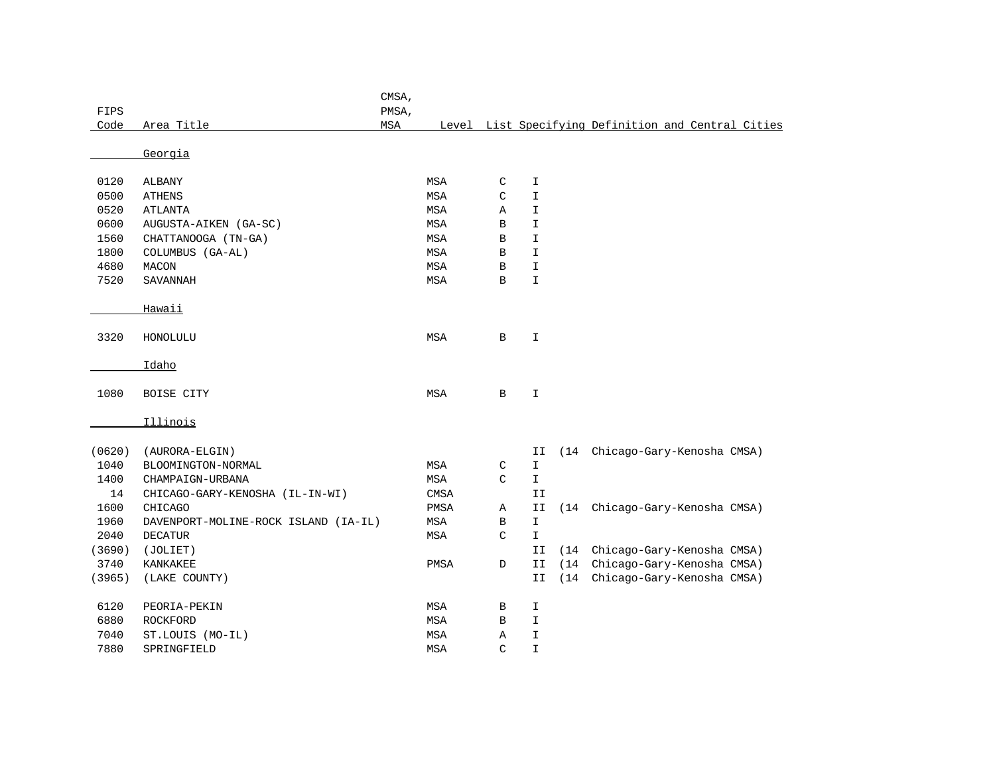|        |                                      | CMSA, |             |              |               |      |                                                     |  |
|--------|--------------------------------------|-------|-------------|--------------|---------------|------|-----------------------------------------------------|--|
| FIPS   |                                      | PMSA, |             |              |               |      |                                                     |  |
| Code   | Area Title                           | MSA   |             |              |               |      | Level List Specifying Definition and Central Cities |  |
|        | Georgia                              |       |             |              |               |      |                                                     |  |
|        |                                      |       |             |              |               |      |                                                     |  |
| 0120   | ALBANY                               |       | MSA         | C            | I             |      |                                                     |  |
| 0500   | <b>ATHENS</b>                        |       | <b>MSA</b>  | C            | $\mathbbm{I}$ |      |                                                     |  |
| 0520   | <b>ATLANTA</b>                       |       | MSA         | Α            | I             |      |                                                     |  |
| 0600   | AUGUSTA-AIKEN (GA-SC)                |       | <b>MSA</b>  | B            | I             |      |                                                     |  |
| 1560   | CHATTANOOGA (TN-GA)                  |       | MSA         | В            | I             |      |                                                     |  |
| 1800   | COLUMBUS (GA-AL)                     |       | MSA         | B            | $\mathbbm{I}$ |      |                                                     |  |
| 4680   | MACON                                |       | MSA         | B            | $\mathbbm{I}$ |      |                                                     |  |
| 7520   | <b>SAVANNAH</b>                      |       | MSA         | $\, {\bf B}$ | $\mathbbm{I}$ |      |                                                     |  |
|        |                                      |       |             |              |               |      |                                                     |  |
|        | Hawaii                               |       |             |              |               |      |                                                     |  |
| 3320   | HONOLULU                             |       | MSA         | $\mathbf B$  | $\mathbbm{I}$ |      |                                                     |  |
|        |                                      |       |             |              |               |      |                                                     |  |
|        | Idaho                                |       |             |              |               |      |                                                     |  |
|        |                                      |       |             |              |               |      |                                                     |  |
| 1080   | BOISE CITY                           |       | MSA         | B            | I             |      |                                                     |  |
|        |                                      |       |             |              |               |      |                                                     |  |
|        | Illinois                             |       |             |              |               |      |                                                     |  |
| (0620) | (AURORA-ELGIN)                       |       |             |              | II            | (14) | Chicago-Gary-Kenosha CMSA)                          |  |
| 1040   | BLOOMINGTON-NORMAL                   |       | MSA         | C            | I             |      |                                                     |  |
| 1400   | CHAMPAIGN-URBANA                     |       | MSA         | C            | $\mathbf I$   |      |                                                     |  |
| 14     | CHICAGO-GARY-KENOSHA (IL-IN-WI)      |       | <b>CMSA</b> |              | II            |      |                                                     |  |
| 1600   | <b>CHICAGO</b>                       |       | PMSA        | Α            | II            | (14) | Chicago-Gary-Kenosha CMSA)                          |  |
| 1960   | DAVENPORT-MOLINE-ROCK ISLAND (IA-IL) |       | MSA         | $\, {\bf B}$ | $\mathbbm{I}$ |      |                                                     |  |
| 2040   | <b>DECATUR</b>                       |       | MSA         | C            | I             |      |                                                     |  |
| (3690) | (JOLIET)                             |       |             |              | II            | (14) | Chicago-Gary-Kenosha CMSA)                          |  |
| 3740   | KANKAKEE                             |       | PMSA        | D            | II            | (14) | Chicago-Gary-Kenosha CMSA)                          |  |
| (3965) | (LAKE COUNTY)                        |       |             |              | II            | (14) | Chicago-Gary-Kenosha CMSA)                          |  |
| 6120   | PEORIA-PEKIN                         |       | MSA         | В            | I             |      |                                                     |  |
| 6880   | <b>ROCKFORD</b>                      |       | <b>MSA</b>  | B            | $\mathbbm{I}$ |      |                                                     |  |
| 7040   | ST.LOUIS (MO-IL)                     |       | <b>MSA</b>  | Α            | $\mathbbm{I}$ |      |                                                     |  |
| 7880   | SPRINGFIELD                          |       | <b>MSA</b>  | C            | $\mathbbm{I}$ |      |                                                     |  |
|        |                                      |       |             |              |               |      |                                                     |  |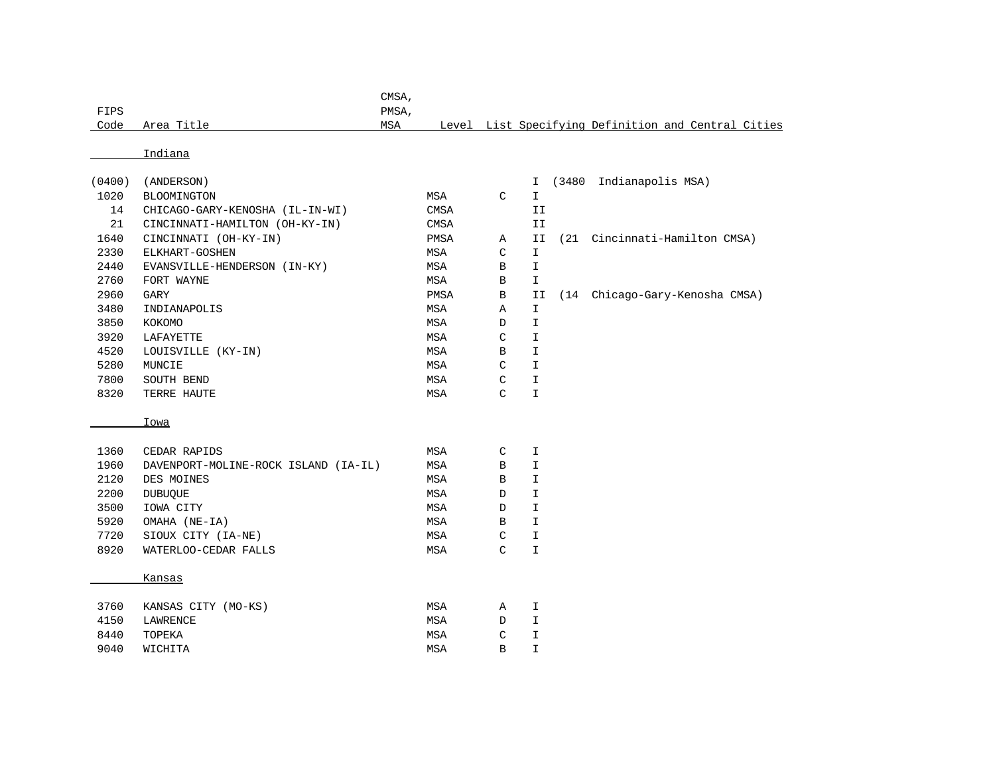|      |                 | <b>CMSA</b> |                                                     |
|------|-----------------|-------------|-----------------------------------------------------|
| FIPS |                 | PMSA,       |                                                     |
|      | Code Area Title | MSA         | Level List Specifying Definition and Central Cities |

| (0400) | (ANDERSON)                      |             |   |    | (3480 | Indianapolis MSA)          |
|--------|---------------------------------|-------------|---|----|-------|----------------------------|
| 1020   | <b>BLOOMINGTON</b>              | <b>MSA</b>  | C |    |       |                            |
| 14     | CHICAGO-GARY-KENOSHA (IL-IN-WI) | CMSA        |   | II |       |                            |
| 21     | CINCINNATI-HAMILTON (OH-KY-IN)  | <b>CMSA</b> |   | II |       |                            |
| 1640   | CINCINNATI (OH-KY-IN)           | PMSA        | Α | II | (21   | Cincinnati-Hamilton CMSA)  |
| 2330   | ELKHART-GOSHEN                  | MSA         | С | Ι  |       |                            |
| 2440   | EVANSVILLE-HENDERSON (IN-KY)    | <b>MSA</b>  | B |    |       |                            |
| 2760   | FORT WAYNE                      | MSA         | B | I  |       |                            |
| 2960   | GARY                            | <b>PMSA</b> | В | II | (14)  | Chicago-Gary-Kenosha CMSA) |
| 3480   | INDIANAPOLIS                    | MSA         | Α | I  |       |                            |
| 3850   | KOKOMO                          | <b>MSA</b>  | D |    |       |                            |
| 3920   | LAFAYETTE                       | <b>MSA</b>  | C | I  |       |                            |
| 4520   | LOUISVILLE (KY-IN)              | <b>MSA</b>  | B | I  |       |                            |
| 5280   | MUNCIE                          | <b>MSA</b>  | C |    |       |                            |
| 7800   | SOUTH BEND                      | <b>MSA</b>  | C | I  |       |                            |
| 8320   | TERRE HAUTE                     | <b>MSA</b>  | C |    |       |                            |

## Iowa

| 1360 | CEDAR RAPIDS                         | <b>MSA</b> | C | I  |
|------|--------------------------------------|------------|---|----|
| 1960 | DAVENPORT-MOLINE-ROCK ISLAND (IA-IL) | MSA        | B | I  |
| 2120 | DES MOINES                           | <b>MSA</b> | B | I  |
| 2200 | <b>DUBUOUE</b>                       | MSA        | D | I. |
| 3500 | IOWA CITY                            | MSA        | D | I. |
| 5920 | OMAHA (NE-IA)                        | MSA        | B | I  |
| 7720 | SIOUX CITY (IA-NE)                   | MSA        | C | I  |
| 8920 | WATERLOO-CEDAR FALLS                 | MSA        | C | I  |
|      |                                      |            |   |    |
|      | Kansas                               |            |   |    |
|      |                                      |            |   |    |

| 3760 | KANSAS CITY (MO-KS) | MSA | А      |  |
|------|---------------------|-----|--------|--|
| 4150 | LAWRENCE            | MSA |        |  |
| 8440 | TOPEKA              | MSA | $\sim$ |  |
| 9040 | <b>WTCHTTA</b>      | MSA | R      |  |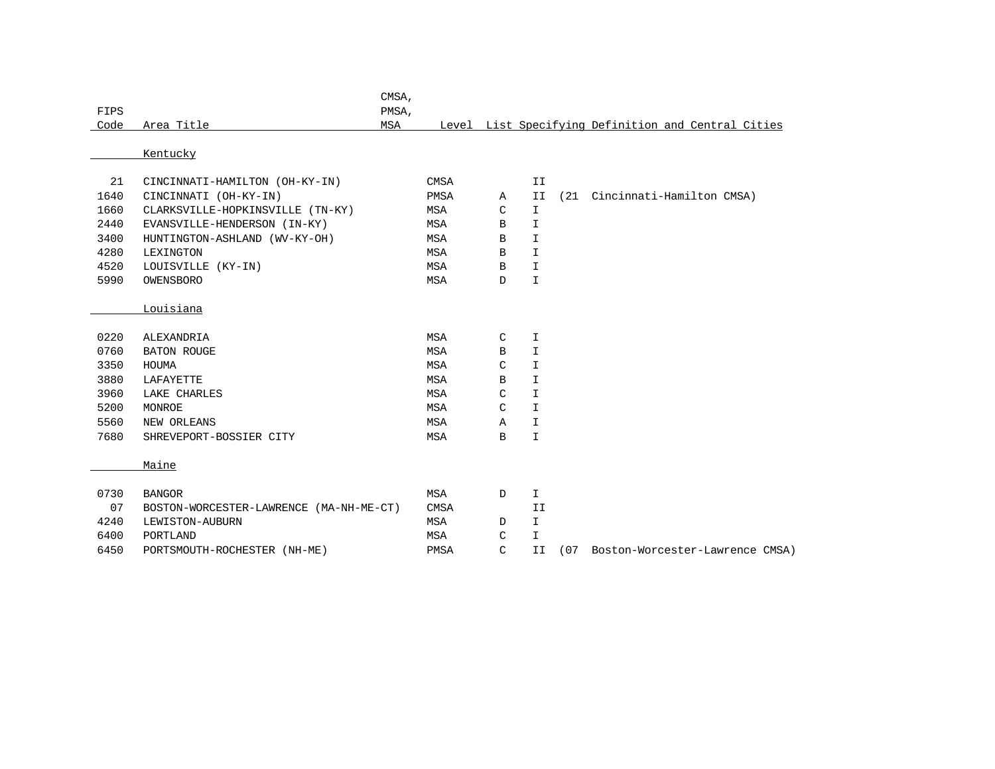|      |                                         | CMSA, |            |               |               |      |                                                     |
|------|-----------------------------------------|-------|------------|---------------|---------------|------|-----------------------------------------------------|
| FIPS |                                         | PMSA, |            |               |               |      |                                                     |
| Code | Area Title                              | MSA   |            |               |               |      | Level List Specifying Definition and Central Cities |
|      |                                         |       |            |               |               |      |                                                     |
|      | Kentucky                                |       |            |               |               |      |                                                     |
|      |                                         |       |            |               |               |      |                                                     |
| 21   | CINCINNATI-HAMILTON (OH-KY-IN)          |       | CMSA       |               | II            |      |                                                     |
| 1640 | CINCINNATI (OH-KY-IN)                   |       | PMSA       | Α             | II            | (21) | Cincinnati-Hamilton CMSA)                           |
| 1660 | CLARKSVILLE-HOPKINSVILLE (TN-KY)        |       | MSA        | C             | I.            |      |                                                     |
| 2440 | EVANSVILLE-HENDERSON (IN-KY)            |       | MSA        | B             | I             |      |                                                     |
| 3400 | HUNTINGTON-ASHLAND (WV-KY-OH)           |       | MSA        | B             | I             |      |                                                     |
| 4280 | LEXINGTON                               |       | MSA        | $\, {\bf B}$  | $\mathbbm{I}$ |      |                                                     |
| 4520 | LOUISVILLE (KY-IN)                      |       | MSA        | B             | I.            |      |                                                     |
| 5990 | OWENSBORO                               |       | MSA        | $\mathbb D$   | $\mathbf I$   |      |                                                     |
|      |                                         |       |            |               |               |      |                                                     |
|      | Louisiana                               |       |            |               |               |      |                                                     |
|      |                                         |       |            |               |               |      |                                                     |
| 0220 | ALEXANDRIA                              |       | <b>MSA</b> | C             | I             |      |                                                     |
| 0760 | <b>BATON ROUGE</b>                      |       | MSA        | B             | I             |      |                                                     |
| 3350 | HOUMA                                   |       | MSA        | C             | I             |      |                                                     |
| 3880 | LAFAYETTE                               |       | MSA        | B             | I             |      |                                                     |
| 3960 | LAKE CHARLES                            |       | MSA        | C             | I             |      |                                                     |
| 5200 | MONROE                                  |       | MSA        | C             | $\mathbf I$   |      |                                                     |
| 5560 | NEW ORLEANS                             |       | MSA        | Α             | I.            |      |                                                     |
| 7680 | SHREVEPORT-BOSSIER CITY                 |       | MSA        | B             | I.            |      |                                                     |
|      |                                         |       |            |               |               |      |                                                     |
|      | Maine                                   |       |            |               |               |      |                                                     |
|      |                                         |       |            |               |               |      |                                                     |
| 0730 | <b>BANGOR</b>                           |       | MSA        | $\mathbb D$   | $\mathbbm{I}$ |      |                                                     |
| 07   | BOSTON-WORCESTER-LAWRENCE (MA-NH-ME-CT) |       | CMSA       |               | II            |      |                                                     |
| 4240 | LEWISTON-AUBURN                         |       | MSA        | D             | I.            |      |                                                     |
| 6400 | PORTLAND                                |       | MSA        | C             | I             |      |                                                     |
| 6450 | PORTSMOUTH-ROCHESTER (NH-ME)            |       | PMSA       | $\mathcal{C}$ | II            | (07) | Boston-Worcester-Lawrence CMSA)                     |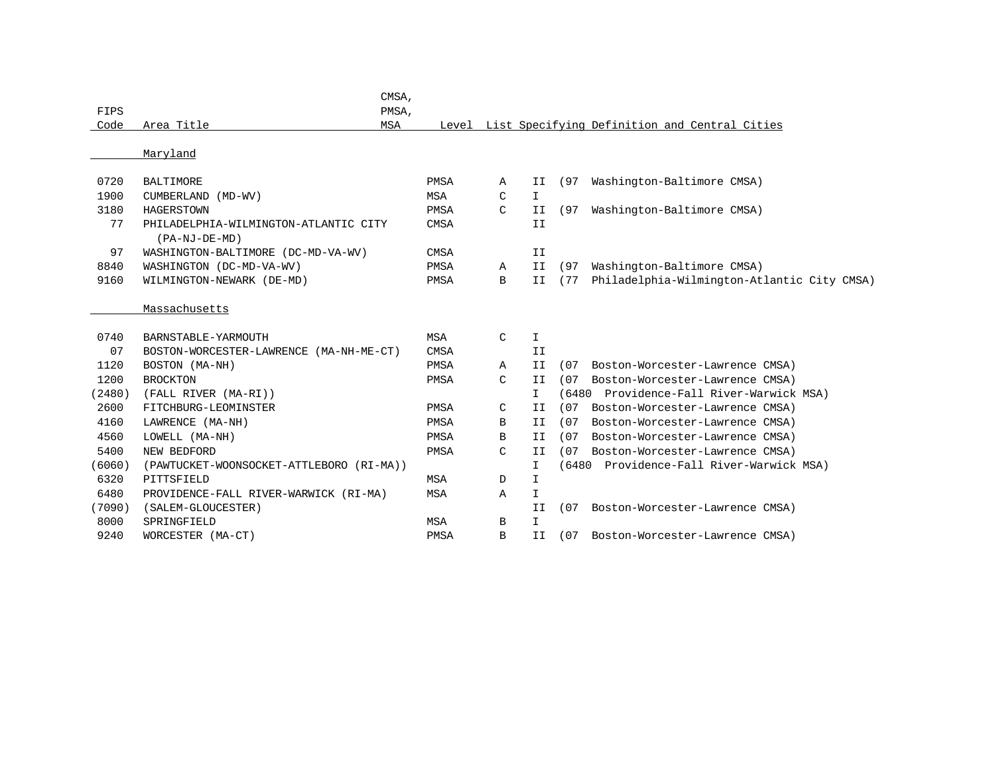|        |                                                          | CMSA, |             |               |               |      |                                                     |
|--------|----------------------------------------------------------|-------|-------------|---------------|---------------|------|-----------------------------------------------------|
| FIPS   |                                                          | PMSA, |             |               |               |      |                                                     |
| Code   | Area Title                                               | MSA   |             |               |               |      | Level List Specifying Definition and Central Cities |
|        | Maryland                                                 |       |             |               |               |      |                                                     |
|        |                                                          |       |             |               |               |      |                                                     |
| 0720   | <b>BALTIMORE</b>                                         |       | PMSA        | Α             | II            | (97) | Washington-Baltimore CMSA)                          |
| 1900   | CUMBERLAND (MD-WV)                                       |       | MSA         | C             | $\mathbf{I}$  |      |                                                     |
| 3180   | <b>HAGERSTOWN</b>                                        |       | PMSA        | $\mathcal{C}$ | II            | (97) | Washington-Baltimore CMSA)                          |
| 77     | PHILADELPHIA-WILMINGTON-ATLANTIC CITY<br>$(PA-NJ-DE-MD)$ |       | <b>CMSA</b> |               | II            |      |                                                     |
| 97     | WASHINGTON-BALTIMORE (DC-MD-VA-WV)                       |       | <b>CMSA</b> |               | II            |      |                                                     |
| 8840   | WASHINGTON (DC-MD-VA-WV)                                 |       | <b>PMSA</b> | Α             | II            | (97) | Washington-Baltimore CMSA)                          |
| 9160   | WILMINGTON-NEWARK (DE-MD)                                |       | PMSA        | B             | II            | (77) | Philadelphia-Wilmington-Atlantic City CMSA)         |
|        | Massachusetts                                            |       |             |               |               |      |                                                     |
| 0740   | BARNSTABLE-YARMOUTH                                      |       | MSA         | $\mathsf{C}$  | $\mathbbm{I}$ |      |                                                     |
| 07     | BOSTON-WORCESTER-LAWRENCE (MA-NH-ME-CT)                  |       | <b>CMSA</b> |               | II            |      |                                                     |
| 1120   | BOSTON (MA-NH)                                           |       | PMSA        | $\mathbb{A}$  | II            | (07  | Boston-Worcester-Lawrence CMSA)                     |
| 1200   | <b>BROCKTON</b>                                          |       | PMSA        | C             | II            | (07) | Boston-Worcester-Lawrence CMSA)                     |
| (2480) | (FALL RIVER (MA-RI))                                     |       |             |               | I             |      | (6480 Providence-Fall River-Warwick MSA)            |
| 2600   | FITCHBURG-LEOMINSTER                                     |       | PMSA        | C             | II            | (07) | Boston-Worcester-Lawrence CMSA)                     |
| 4160   | LAWRENCE (MA-NH)                                         |       | PMSA        | B             | II            | (07) | Boston-Worcester-Lawrence CMSA)                     |
| 4560   | LOWELL (MA-NH)                                           |       | PMSA        | В             | II            | (07) | Boston-Worcester-Lawrence CMSA)                     |
| 5400   | NEW BEDFORD                                              |       | PMSA        | C             | II            | (07) | Boston-Worcester-Lawrence CMSA)                     |
| (6060) | (PAWTUCKET-WOONSOCKET-ATTLEBORO (RI-MA))                 |       |             |               | I             |      | (6480 Providence-Fall River-Warwick MSA)            |
| 6320   | PITTSFIELD                                               |       | <b>MSA</b>  | D             | $\mathbf I$   |      |                                                     |
| 6480   | PROVIDENCE-FALL RIVER-WARWICK (RI-MA)                    |       | <b>MSA</b>  | A             | $\mathbf I$   |      |                                                     |
| (7090) | (SALEM-GLOUCESTER)                                       |       |             |               | II            | (07) | Boston-Worcester-Lawrence CMSA)                     |
| 8000   | SPRINGFIELD                                              |       | <b>MSA</b>  | B             | I             |      |                                                     |
| 9240   | WORCESTER (MA-CT)                                        |       | PMSA        | B             | II            | (07) | Boston-Worcester-Lawrence CMSA)                     |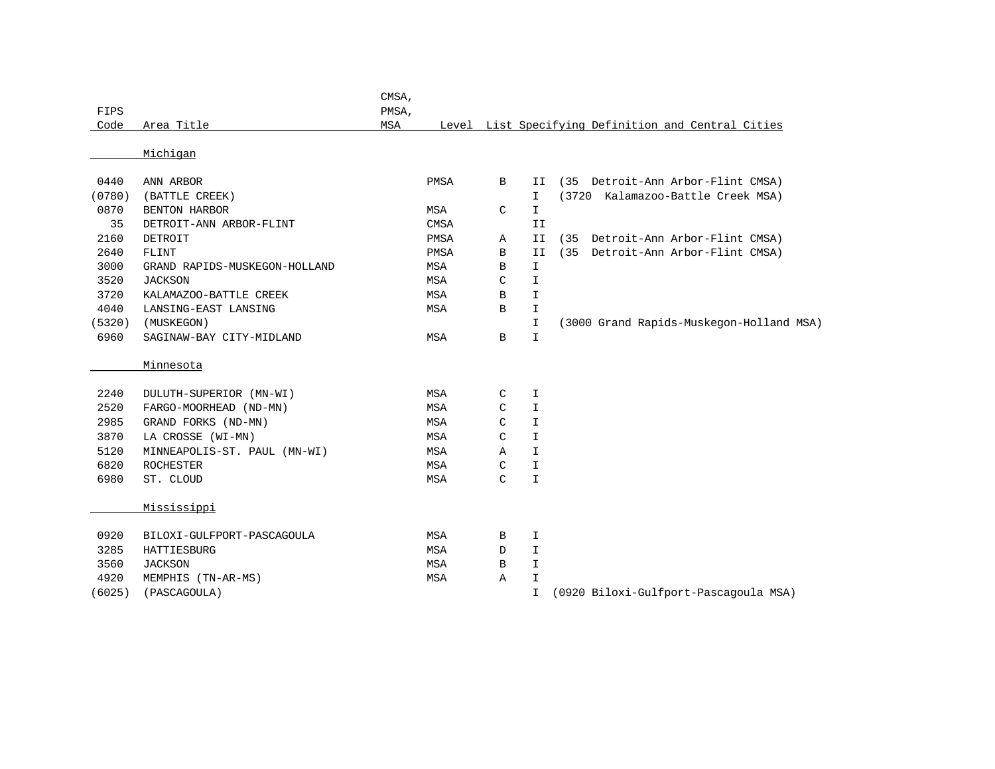| FIPS   |                               | CMSA,<br>PMSA, |            |   |               |                                                     |
|--------|-------------------------------|----------------|------------|---|---------------|-----------------------------------------------------|
| Code   | Area Title                    | MSA            |            |   |               | Level List Specifying Definition and Central Cities |
|        | Michigan                      |                |            |   |               |                                                     |
|        |                               |                |            |   |               |                                                     |
| 0440   | ANN ARBOR                     |                | PMSA       | B | II            | (35)<br>Detroit-Ann Arbor-Flint CMSA)               |
| (0780) | (BATTLE CREEK)                |                |            |   | I.            | (3720 Kalamazoo-Battle Creek MSA)                   |
| 0870   | BENTON HARBOR                 |                | MSA        | C | $\mathbf I$   |                                                     |
| 35     | DETROIT-ANN ARBOR-FLINT       |                | CMSA       |   | II            |                                                     |
| 2160   | DETROIT                       |                | PMSA       | Α | II            | Detroit-Ann Arbor-Flint CMSA)<br>(35)               |
| 2640   | FLINT                         |                | PMSA       | B | II            | (35 Detroit-Ann Arbor-Flint CMSA)                   |
| 3000   | GRAND RAPIDS-MUSKEGON-HOLLAND |                | MSA        | B | $\mathbf I$   |                                                     |
| 3520   | <b>JACKSON</b>                |                | <b>MSA</b> | C | $\mathbf I$   |                                                     |
| 3720   | KALAMAZOO-BATTLE CREEK        |                | MSA        | B | $\mathbbm{I}$ |                                                     |
| 4040   | LANSING-EAST LANSING          |                | MSA        | B | $\mathbf I$   |                                                     |
| (5320) | (MUSKEGON)                    |                |            |   | $\mathbbm{I}$ | (3000 Grand Rapids-Muskegon-Holland MSA)            |
| 6960   | SAGINAW-BAY CITY-MIDLAND      |                | MSA        | В | $\mathbf I$   |                                                     |
|        | Minnesota                     |                |            |   |               |                                                     |
| 2240   | DULUTH-SUPERIOR (MN-WI)       |                | <b>MSA</b> | C | $\mathbf I$   |                                                     |
| 2520   | FARGO-MOORHEAD (ND-MN)        |                | <b>MSA</b> | C | I             |                                                     |
| 2985   | GRAND FORKS (ND-MN)           |                | MSA        | C | I             |                                                     |
| 3870   | LA CROSSE (WI-MN)             |                | MSA        | C | $\mathbf I$   |                                                     |
| 5120   | MINNEAPOLIS-ST. PAUL (MN-WI)  |                | MSA        | Α | $\mathbbm{I}$ |                                                     |
| 6820   | ROCHESTER                     |                | MSA        | C | $\mathbbm{I}$ |                                                     |
| 6980   | ST. CLOUD                     |                | MSA        | C | $\mathbbm{I}$ |                                                     |
|        | Mississippi                   |                |            |   |               |                                                     |
| 0920   | BILOXI-GULFPORT-PASCAGOULA    |                | MSA        | В | I.            |                                                     |
| 3285   | HATTIESBURG                   |                | MSA        | D | I             |                                                     |
| 3560   | <b>JACKSON</b>                |                | MSA        | B | $\mathbf{I}$  |                                                     |
| 4920   | MEMPHIS (TN-AR-MS)            |                | MSA        | Α | I             |                                                     |
| (6025) | (PASCAGOULA)                  |                |            |   | I             | (0920 Biloxi-Gulfport-Pascagoula MSA)               |
|        |                               |                |            |   |               |                                                     |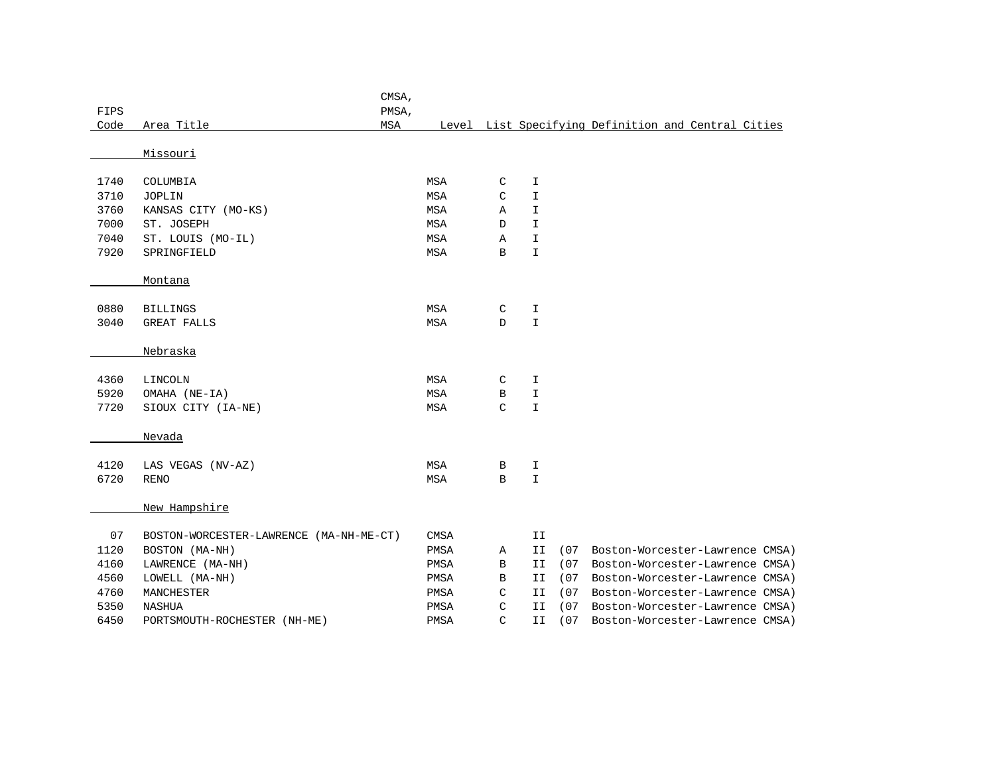|      |                                         | CMSA,      |             |   |               |      |                                                     |
|------|-----------------------------------------|------------|-------------|---|---------------|------|-----------------------------------------------------|
| FIPS |                                         | PMSA,      |             |   |               |      |                                                     |
| Code | Area Title                              | <b>MSA</b> |             |   |               |      | Level List Specifying Definition and Central Cities |
|      |                                         |            |             |   |               |      |                                                     |
|      | Missouri                                |            |             |   |               |      |                                                     |
| 1740 | COLUMBIA                                |            | MSA         | C | I             |      |                                                     |
| 3710 | <b>JOPLIN</b>                           |            | <b>MSA</b>  | C | I             |      |                                                     |
| 3760 | KANSAS CITY (MO-KS)                     |            | <b>MSA</b>  | Α | I             |      |                                                     |
| 7000 | ST. JOSEPH                              |            | MSA         | D | $\mathbf I$   |      |                                                     |
| 7040 | ST. LOUIS (MO-IL)                       |            | <b>MSA</b>  | Α | I.            |      |                                                     |
| 7920 | SPRINGFIELD                             |            | <b>MSA</b>  | B | $\mathbf{I}$  |      |                                                     |
|      |                                         |            |             |   |               |      |                                                     |
|      | Montana                                 |            |             |   |               |      |                                                     |
|      |                                         |            |             |   |               |      |                                                     |
| 0880 | <b>BILLINGS</b>                         |            | MSA         | C | I             |      |                                                     |
| 3040 | <b>GREAT FALLS</b>                      |            | <b>MSA</b>  | D | $\mathbf I$   |      |                                                     |
|      |                                         |            |             |   |               |      |                                                     |
|      | Nebraska                                |            |             |   |               |      |                                                     |
|      |                                         |            |             |   |               |      |                                                     |
| 4360 | LINCOLN                                 |            | MSA         | C | I             |      |                                                     |
| 5920 | OMAHA (NE-IA)                           |            | <b>MSA</b>  | В | I             |      |                                                     |
| 7720 | SIOUX CITY (IA-NE)                      |            | <b>MSA</b>  | C | $\mathbbm{I}$ |      |                                                     |
|      |                                         |            |             |   |               |      |                                                     |
|      | Nevada                                  |            |             |   |               |      |                                                     |
|      |                                         |            |             |   |               |      |                                                     |
| 4120 | LAS VEGAS (NV-AZ)                       |            | <b>MSA</b>  | В | I             |      |                                                     |
| 6720 | <b>RENO</b>                             |            | <b>MSA</b>  | B | $\mathbf{I}$  |      |                                                     |
|      |                                         |            |             |   |               |      |                                                     |
|      | New Hampshire                           |            |             |   |               |      |                                                     |
|      |                                         |            |             |   |               |      |                                                     |
| 07   | BOSTON-WORCESTER-LAWRENCE (MA-NH-ME-CT) |            | <b>CMSA</b> |   | II            |      |                                                     |
| 1120 | BOSTON (MA-NH)                          |            | PMSA        | Α | II            | (07  | Boston-Worcester-Lawrence CMSA)                     |
| 4160 | LAWRENCE (MA-NH)                        |            | PMSA        | В | II            | (07) | Boston-Worcester-Lawrence CMSA)                     |
| 4560 | LOWELL (MA-NH)                          |            | PMSA        | В | IΙ            | (07) | Boston-Worcester-Lawrence CMSA)                     |
| 4760 | MANCHESTER                              |            | PMSA        | C | II            | (07) | Boston-Worcester-Lawrence CMSA)                     |
| 5350 | <b>NASHUA</b>                           |            | PMSA        | C | II            | (07) | Boston-Worcester-Lawrence CMSA)                     |
| 6450 | PORTSMOUTH-ROCHESTER (NH-ME)            |            | PMSA        | C | IΙ            | (07) | Boston-Worcester-Lawrence CMSA)                     |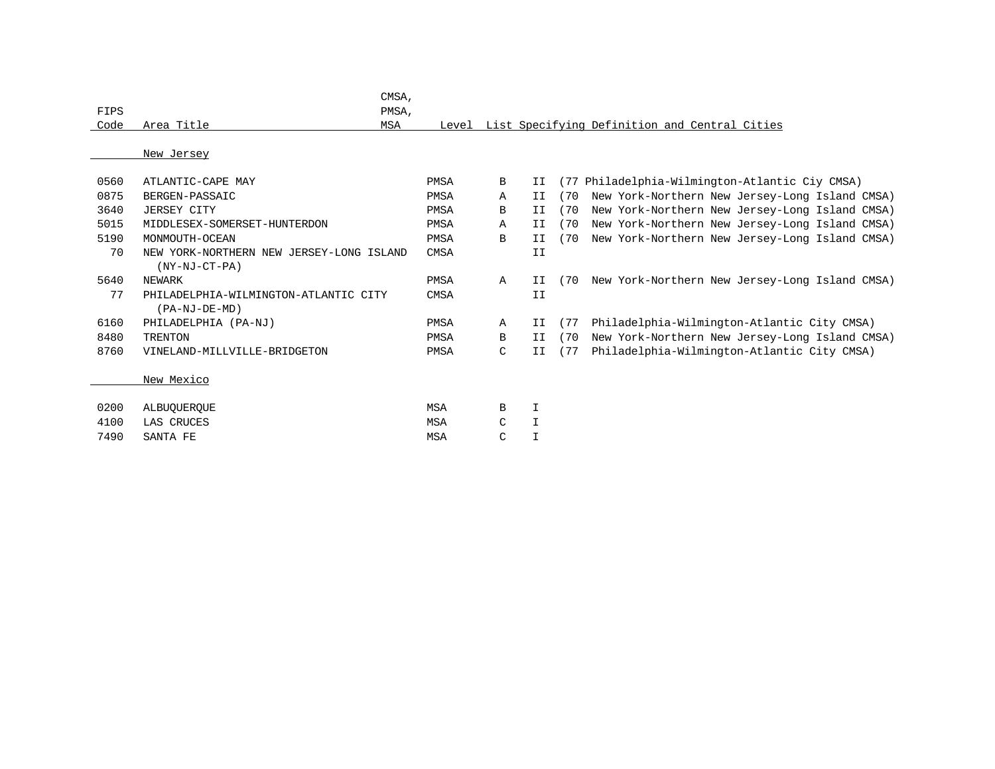| FIPS |                                          | CMSA.<br>PMSA, |             |              |             |      |                                                     |
|------|------------------------------------------|----------------|-------------|--------------|-------------|------|-----------------------------------------------------|
| Code | Area Title                               | <b>MSA</b>     |             |              |             |      | Level List Specifying Definition and Central Cities |
|      |                                          |                |             |              |             |      |                                                     |
|      | New Jersey                               |                |             |              |             |      |                                                     |
|      |                                          |                |             |              |             |      |                                                     |
| 0560 | ATLANTIC-CAPE MAY                        |                | <b>PMSA</b> | B            | II          |      | (77 Philadelphia-Wilmington-Atlantic Ciy CMSA)      |
| 0875 | BERGEN-PASSAIC                           |                | <b>PMSA</b> | Α            | II          | (70  | New York-Northern New Jersey-Long Island CMSA)      |
| 3640 | <b>JERSEY CITY</b>                       |                | <b>PMSA</b> | B            | II          | (70) | New York-Northern New Jersey-Long Island CMSA)      |
| 5015 | MIDDLESEX-SOMERSET-HUNTERDON             |                | PMSA        | Α            | II          | (70) | New York-Northern New Jersey-Long Island CMSA)      |
| 5190 | MONMOUTH-OCEAN                           |                | <b>PMSA</b> | B            | II          | (70) | New York-Northern New Jersey-Long Island CMSA)      |
| 70   | NEW YORK-NORTHERN NEW JERSEY-LONG ISLAND |                | <b>CMSA</b> |              | II          |      |                                                     |
|      | $(NY-NJ-CT-PA)$                          |                |             |              |             |      |                                                     |
| 5640 | NEWARK                                   |                | PMSA        | $\mathbb{A}$ | II          | (70) | New York-Northern New Jersey-Long Island CMSA)      |
| 77   | PHILADELPHIA-WILMINGTON-ATLANTIC CITY    |                | <b>CMSA</b> |              | II          |      |                                                     |
|      | (PA-NJ-DE-MD)                            |                |             |              |             |      |                                                     |
| 6160 | PHILADELPHIA (PA-NJ)                     |                | PMSA        | A            | II          | (77) | Philadelphia-Wilmington-Atlantic City CMSA)         |
| 8480 | <b>TRENTON</b>                           |                | PMSA        | B            | II          | (70) | New York-Northern New Jersey-Long Island CMSA)      |
| 8760 | VINELAND-MILLVILLE-BRIDGETON             |                | PMSA        | C            | II          | (77) | Philadelphia-Wilmington-Atlantic City CMSA)         |
|      |                                          |                |             |              |             |      |                                                     |
|      | New Mexico                               |                |             |              |             |      |                                                     |
|      |                                          |                |             |              |             |      |                                                     |
| 0200 | ALBUOUEROUE                              |                | <b>MSA</b>  | В            | I           |      |                                                     |
| 4100 | LAS CRUCES                               |                | <b>MSA</b>  | C            | $\mathbf I$ |      |                                                     |
| 7490 | SANTA FE                                 |                | <b>MSA</b>  | C            | I           |      |                                                     |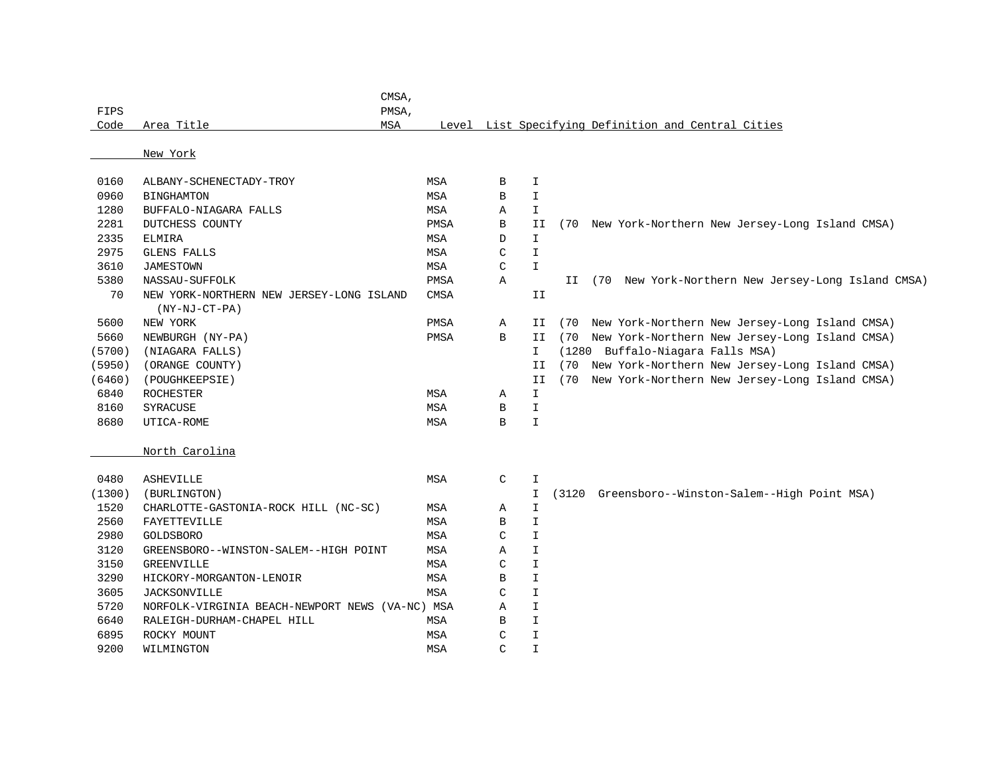|              | CMSA,                                           |             |               |                            |      |                                                       |
|--------------|-------------------------------------------------|-------------|---------------|----------------------------|------|-------------------------------------------------------|
| FIPS         | PMSA,                                           |             |               |                            |      |                                                       |
| Code         | Area Title<br>MSA                               |             |               |                            |      | Level List Specifying Definition and Central Cities   |
|              |                                                 |             |               |                            |      |                                                       |
|              | New York                                        |             |               |                            |      |                                                       |
| 0160         | ALBANY-SCHENECTADY-TROY                         | <b>MSA</b>  | B             | $\mathbbm{I}$              |      |                                                       |
| 0960         | <b>BINGHAMTON</b>                               | MSA         | B             | $\mathbbm{I}$              |      |                                                       |
| 1280         | BUFFALO-NIAGARA FALLS                           | MSA         | Α             | $\mathbf I$                |      |                                                       |
| 2281         | DUTCHESS COUNTY                                 | PMSA        | B             | II                         |      | (70 New York-Northern New Jersey-Long Island CMSA)    |
| 2335         | <b>ELMIRA</b>                                   | MSA         | D             | $\mathbf I$                |      |                                                       |
| 2975         | <b>GLENS FALLS</b>                              | MSA         | C             | $\mathbbm{I}$              |      |                                                       |
| 3610         | <b>JAMESTOWN</b>                                | MSA         | $\mathcal{C}$ | $\mathbb T$                |      |                                                       |
| 5380         | NASSAU-SUFFOLK                                  | PMSA        | $\mathbb{A}$  |                            |      | II (70 New York-Northern New Jersey-Long Island CMSA) |
| 70           | NEW YORK-NORTHERN NEW JERSEY-LONG ISLAND        | <b>CMSA</b> |               | II                         |      |                                                       |
|              | $(NY-NJ-CT-PA)$                                 |             |               |                            |      |                                                       |
| 5600         | NEW YORK                                        | PMSA        | Α             | II                         | (70) | New York-Northern New Jersey-Long Island CMSA)        |
| 5660         | NEWBURGH (NY-PA)                                | PMSA        | $\mathbf B$   | II                         |      | (70 New York-Northern New Jersey-Long Island CMSA)    |
| (5700)       | (NIAGARA FALLS)                                 |             |               | $\mathbf{I}$               |      | (1280 Buffalo-Niagara Falls MSA)                      |
| (5950)       | (ORANGE COUNTY)                                 |             |               | II                         | (70) | New York-Northern New Jersey-Long Island CMSA)        |
| (6460)       | (POUGHKEEPSIE)                                  |             |               | II                         |      | (70 New York-Northern New Jersey-Long Island CMSA)    |
| 6840         | ROCHESTER                                       | MSA         | Α             | $\mathbbm{I}$              |      |                                                       |
| 8160         | SYRACUSE                                        | MSA         | В             | $\mathbbm{I}$              |      |                                                       |
| 8680         | UTICA-ROME                                      | MSA         | B             | I                          |      |                                                       |
|              |                                                 |             |               |                            |      |                                                       |
|              | North Carolina                                  |             |               |                            |      |                                                       |
|              |                                                 |             |               |                            |      |                                                       |
| 0480         | <b>ASHEVILLE</b>                                | MSA         | C             | I                          |      |                                                       |
| (1300)       | (BURLINGTON)                                    |             |               | $\mathbf I$                |      | (3120 Greensboro--Winston-Salem--High Point MSA)      |
| 1520         | CHARLOTTE-GASTONIA-ROCK HILL (NC-SC)            | MSA         | Α             | $\mathbbm{1}$              |      |                                                       |
| 2560<br>2980 | FAYETTEVILLE                                    | MSA         | B             | $\mathbf I$<br>$\mathbf I$ |      |                                                       |
|              | GOLDSBORO                                       | MSA         | C             |                            |      |                                                       |
| 3120         | GREENSBORO--WINSTON-SALEM--HIGH POINT           | <b>MSA</b>  | Α             | $\mathbf I$                |      |                                                       |
| 3150         | <b>GREENVILLE</b>                               | MSA         | $\mathcal{C}$ | $\mathbf I$                |      |                                                       |
| 3290         | HICKORY-MORGANTON-LENOIR                        | MSA         | B             | $\mathbf I$                |      |                                                       |
| 3605         | <b>JACKSONVILLE</b>                             | <b>MSA</b>  | C             | $\mathbbm{I}$              |      |                                                       |
| 5720         | NORFOLK-VIRGINIA BEACH-NEWPORT NEWS (VA-NC) MSA |             | Α             | $\mathbf I$                |      |                                                       |
| 6640         | RALEIGH-DURHAM-CHAPEL HILL                      | <b>MSA</b>  | B             | $\mathbbm{1}$              |      |                                                       |
| 6895         | ROCKY MOUNT                                     | <b>MSA</b>  | $\mathcal{C}$ | $\mathbbm{1}$              |      |                                                       |
| 9200         | WILMINGTON                                      | <b>MSA</b>  | $\mathcal{C}$ | $\mathbbm{1}$              |      |                                                       |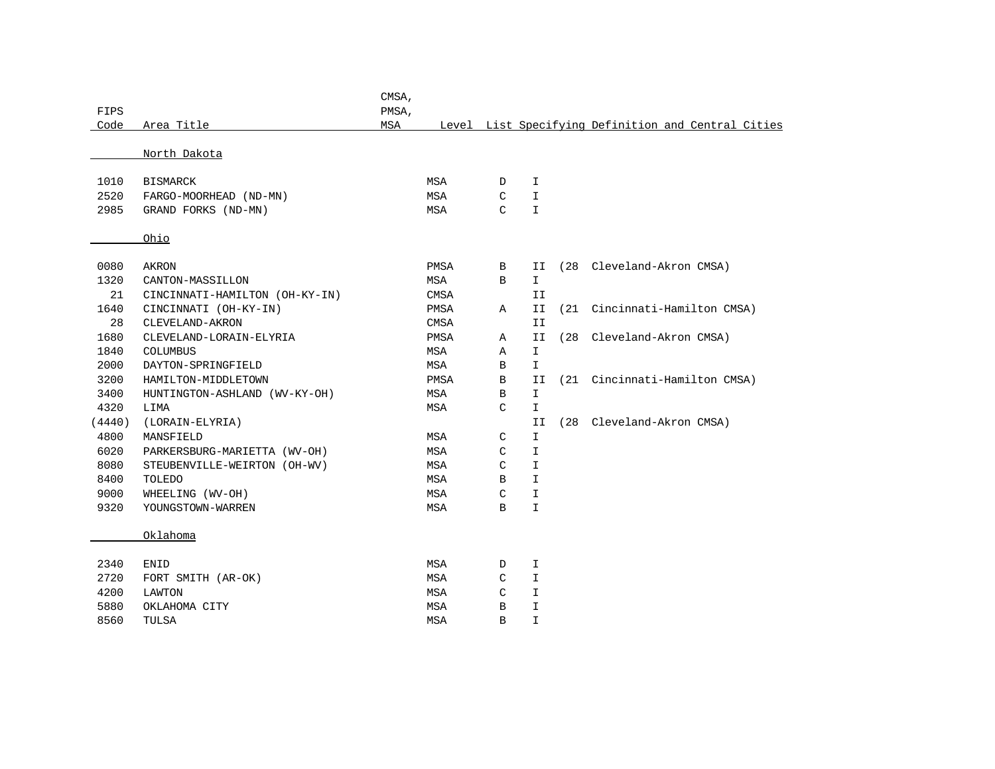| FIPS   |                                | CMSA,<br>PMSA, |             |               |               |      |                                                     |
|--------|--------------------------------|----------------|-------------|---------------|---------------|------|-----------------------------------------------------|
| Code   | Area Title                     | MSA            |             |               |               |      | Level List Specifying Definition and Central Cities |
|        |                                |                |             |               |               |      |                                                     |
|        | North Dakota                   |                |             |               |               |      |                                                     |
| 1010   | <b>BISMARCK</b>                |                | MSA         | D             | I             |      |                                                     |
| 2520   | FARGO-MOORHEAD (ND-MN)         |                | MSA         | C             | I             |      |                                                     |
| 2985   | GRAND FORKS (ND-MN)            |                | MSA         | $\mathcal{C}$ | $\mathbf I$   |      |                                                     |
|        | Ohio                           |                |             |               |               |      |                                                     |
| 0080   | AKRON                          |                | PMSA        | В             | II            |      | (28 Cleveland-Akron CMSA)                           |
| 1320   | CANTON-MASSILLON               |                | MSA         | B             | $\mathbf{I}$  |      |                                                     |
| 21     | CINCINNATI-HAMILTON (OH-KY-IN) |                | <b>CMSA</b> |               | II            |      |                                                     |
| 1640   | CINCINNATI (OH-KY-IN)          |                | PMSA        | Α             | II            | (21) | Cincinnati-Hamilton CMSA)                           |
| 28     | CLEVELAND-AKRON                |                | <b>CMSA</b> |               | II            |      |                                                     |
| 1680   | CLEVELAND-LORAIN-ELYRIA        |                | PMSA        | Α             | II            |      | (28 Cleveland-Akron CMSA)                           |
| 1840   | <b>COLUMBUS</b>                |                | MSA         | Α             | $\mathbbm{I}$ |      |                                                     |
| 2000   | DAYTON-SPRINGFIELD             |                | MSA         | В             | $\mathbf{I}$  |      |                                                     |
| 3200   | HAMILTON-MIDDLETOWN            |                | PMSA        | В             | II            |      | (21 Cincinnati-Hamilton CMSA)                       |
| 3400   | HUNTINGTON-ASHLAND (WV-KY-OH)  |                | MSA         | В             | $\mathbbm{I}$ |      |                                                     |
| 4320   | LIMA                           |                | MSA         | C             | $\mathbf{I}$  |      |                                                     |
| (4440) | (LORAIN-ELYRIA)                |                |             |               | II            | (28) | Cleveland-Akron CMSA)                               |
| 4800   | MANSFIELD                      |                | MSA         | C             | I.            |      |                                                     |
| 6020   | PARKERSBURG-MARIETTA (WV-OH)   |                | MSA         | C             | $\mathbbm{I}$ |      |                                                     |
| 8080   | STEUBENVILLE-WEIRTON (OH-WV)   |                | MSA         | $\mathcal{C}$ | $\mathbf I$   |      |                                                     |
| 8400   | TOLEDO                         |                | MSA         | В             | $\mathbf I$   |      |                                                     |
| 9000   | WHEELING (WV-OH)               |                | MSA         | C             | I.            |      |                                                     |
| 9320   | YOUNGSTOWN-WARREN              |                | <b>MSA</b>  | B             | $\mathbf{I}$  |      |                                                     |
|        | Oklahoma                       |                |             |               |               |      |                                                     |
| 2340   | <b>ENID</b>                    |                | MSA         | D             | I             |      |                                                     |
| 2720   | FORT SMITH (AR-OK)             |                | MSA         | C             | $\mathbf I$   |      |                                                     |
| 4200   | LAWTON                         |                | MSA         | C             | $\mathbf I$   |      |                                                     |
| 5880   | OKLAHOMA CITY                  |                | MSA         | B             | $\mathbf I$   |      |                                                     |
| 8560   | TULSA                          |                | <b>MSA</b>  | B             | I.            |      |                                                     |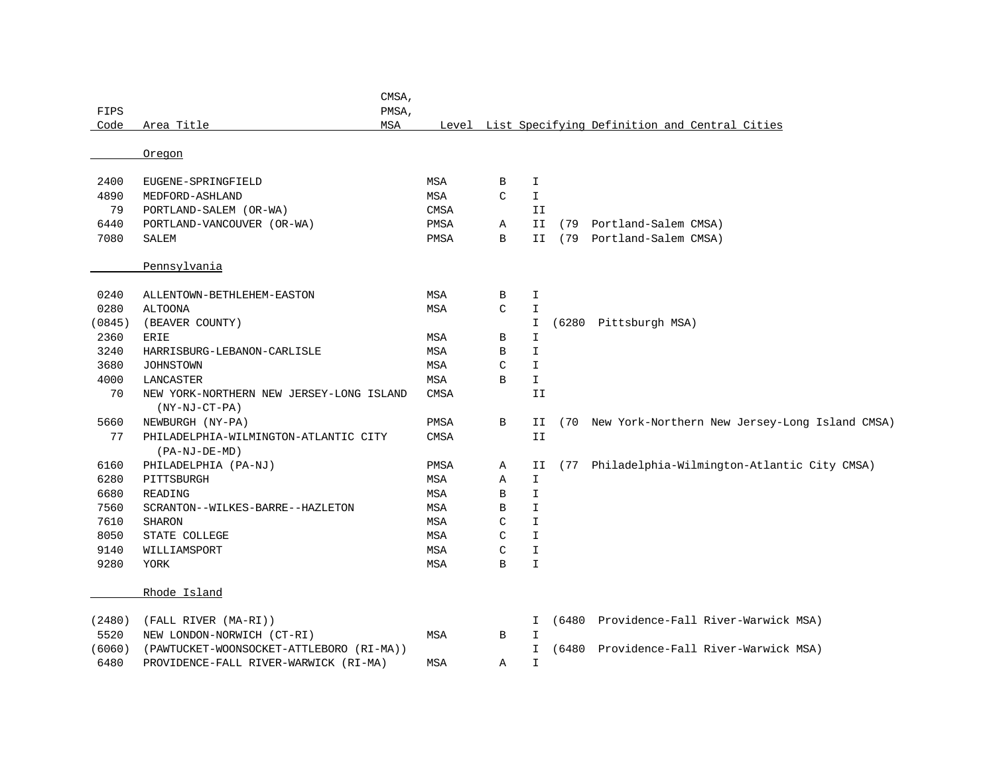| FIPS   |                                                             | CMSA,<br>PMSA, |             |               |                 |       |                                                     |
|--------|-------------------------------------------------------------|----------------|-------------|---------------|-----------------|-------|-----------------------------------------------------|
| Code   | Area Title                                                  | <b>MSA</b>     |             |               |                 |       | Level List Specifying Definition and Central Cities |
|        | Oregon                                                      |                |             |               |                 |       |                                                     |
| 2400   | EUGENE-SPRINGFIELD                                          |                | MSA         | $\, {\bf B}$  | I               |       |                                                     |
| 4890   | MEDFORD-ASHLAND                                             |                | MSA         | $\mathcal{C}$ | $\mathbbm{I}$   |       |                                                     |
| 79     | PORTLAND-SALEM (OR-WA)                                      |                | <b>CMSA</b> |               | II              |       |                                                     |
| 6440   | PORTLAND-VANCOUVER (OR-WA)                                  |                | PMSA        | Α             | $\mbox{\bf II}$ | (79   | Portland-Salem CMSA)                                |
| 7080   | <b>SALEM</b>                                                |                | PMSA        | $\mathbf B$   | II              |       | (79 Portland-Salem CMSA)                            |
|        | Pennsylvania                                                |                |             |               |                 |       |                                                     |
| 0240   | ALLENTOWN-BETHLEHEM-EASTON                                  |                | <b>MSA</b>  | В             | I               |       |                                                     |
| 0280   | <b>ALTOONA</b>                                              |                | <b>MSA</b>  | $\mathcal{C}$ | $\mathbbm{I}$   |       |                                                     |
| (0845) | (BEAVER COUNTY)                                             |                |             |               | I               |       | (6280 Pittsburgh MSA)                               |
| 2360   | <b>ERIE</b>                                                 |                | MSA         | В             | I               |       |                                                     |
| 3240   | HARRISBURG-LEBANON-CARLISLE                                 |                | <b>MSA</b>  | B             | I               |       |                                                     |
| 3680   | <b>JOHNSTOWN</b>                                            |                | <b>MSA</b>  | C             | I               |       |                                                     |
| 4000   | LANCASTER                                                   |                | MSA         | В             | $\mathbbm{1}$   |       |                                                     |
| 70     | NEW YORK-NORTHERN NEW JERSEY-LONG ISLAND<br>$(NY-NJ-CT-PA)$ |                | CMSA        |               | II              |       |                                                     |
| 5660   | NEWBURGH (NY-PA)                                            |                | PMSA        | $\, {\bf B}$  | ΙI              |       | (70 New York-Northern New Jersey-Long Island CMSA)  |
| 77     | PHILADELPHIA-WILMINGTON-ATLANTIC CITY<br>(PA-NJ-DE-MD)      |                | <b>CMSA</b> |               | II              |       |                                                     |
| 6160   | PHILADELPHIA (PA-NJ)                                        |                | PMSA        | Α             | II              |       | (77 Philadelphia-Wilmington-Atlantic City CMSA)     |
| 6280   | PITTSBURGH                                                  |                | MSA         | Α             | $\mathbf I$     |       |                                                     |
| 6680   | READING                                                     |                | <b>MSA</b>  | B             | $\mathbbm{I}$   |       |                                                     |
| 7560   | SCRANTON--WILKES-BARRE--HAZLETON                            |                | <b>MSA</b>  | B             | $\mathbbm{I}$   |       |                                                     |
| 7610   | <b>SHARON</b>                                               |                | MSA         | C             | I               |       |                                                     |
| 8050   | STATE COLLEGE                                               |                | <b>MSA</b>  | C             | I               |       |                                                     |
| 9140   | WILLIAMSPORT                                                |                | <b>MSA</b>  | C             | I               |       |                                                     |
| 9280   | YORK                                                        |                | MSA         | В             | I               |       |                                                     |
|        | Rhode Island                                                |                |             |               |                 |       |                                                     |
| (2480) | (FALL RIVER (MA-RI))                                        |                |             |               | I               |       | (6480 Providence-Fall River-Warwick MSA)            |
| 5520   | NEW LONDON-NORWICH (CT-RI)                                  |                | MSA         | B             | I               |       |                                                     |
| (6060) | (PAWTUCKET-WOONSOCKET-ATTLEBORO (RI-MA))                    |                |             |               | $\mathbf{I}$    | (6480 | Providence-Fall River-Warwick MSA)                  |
| 6480   | PROVIDENCE-FALL RIVER-WARWICK (RI-MA)                       |                | <b>MSA</b>  | Α             | $\mathbf I$     |       |                                                     |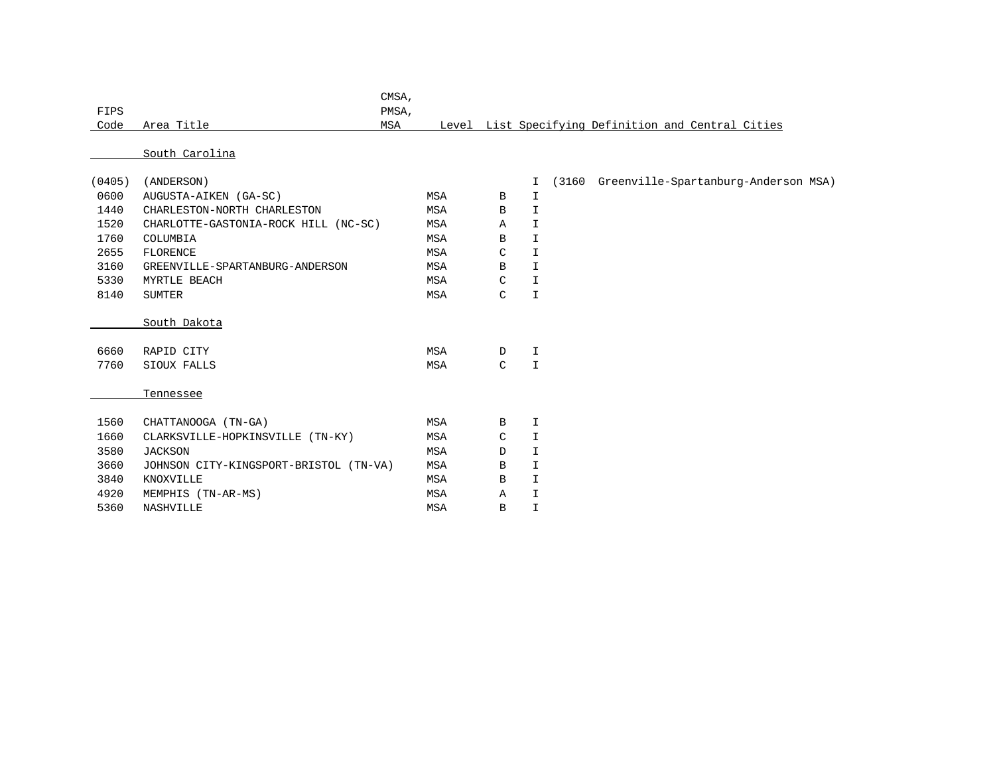| FIPS<br>Code |                                      | PMSA, |                                        |               |               |                                                     |
|--------------|--------------------------------------|-------|----------------------------------------|---------------|---------------|-----------------------------------------------------|
|              |                                      |       |                                        |               |               |                                                     |
|              | Area Title                           | MSA   |                                        |               |               | Level List Specifying Definition and Central Cities |
|              |                                      |       |                                        |               |               |                                                     |
|              | South Carolina                       |       |                                        |               |               |                                                     |
|              |                                      |       |                                        |               |               |                                                     |
|              | (ANDERSON)                           |       |                                        |               | I.            | (3160 Greenville-Spartanburg-Anderson MSA)          |
| 0600         | AUGUSTA-AIKEN (GA-SC)                |       | MSA                                    | B             | I             |                                                     |
| 1440         | CHARLESTON-NORTH CHARLESTON          |       | MSA                                    | B             | $\mathbf{I}$  |                                                     |
| 1520         | CHARLOTTE-GASTONIA-ROCK HILL (NC-SC) |       | MSA                                    | $\mathbb{A}$  | I.            |                                                     |
| 1760         | COLUMBIA                             |       | MSA                                    | B             | $\mathbf{I}$  |                                                     |
| 2655         | <b>FLORENCE</b>                      |       | MSA                                    | $\mathcal{C}$ | I.            |                                                     |
| 3160         | GREENVILLE-SPARTANBURG-ANDERSON      |       | MSA                                    | B             | $\mathbf{I}$  |                                                     |
| 5330         | MYRTLE BEACH                         |       | MSA                                    | $\mathsf{C}$  | $\mathbf{I}$  |                                                     |
| 8140         | <b>SUMTER</b>                        |       | MSA                                    | $\mathcal{C}$ | $\mathbbm{I}$ |                                                     |
|              |                                      |       |                                        |               |               |                                                     |
|              | South Dakota                         |       |                                        |               |               |                                                     |
|              |                                      |       |                                        |               |               |                                                     |
| 6660         | RAPID CITY                           |       | MSA                                    | D             | I             |                                                     |
| 7760         | SIOUX FALLS                          |       | MSA                                    | $\mathcal{C}$ | $\mathbf{I}$  |                                                     |
|              |                                      |       |                                        |               |               |                                                     |
|              | Tennessee                            |       |                                        |               |               |                                                     |
|              |                                      |       |                                        |               |               |                                                     |
| 1560         | CHATTANOOGA (TN-GA)                  |       | MSA                                    | B             | Ι             |                                                     |
| 1660         | CLARKSVILLE-HOPKINSVILLE (TN-KY)     |       | MSA                                    | C             | $\mathbf{I}$  |                                                     |
| 3580         | <b>JACKSON</b>                       |       | MSA                                    | D             | $\mathbf{I}$  |                                                     |
| 3660         |                                      |       | MSA                                    | B             | I.            |                                                     |
| 3840         | KNOXVILLE                            |       | MSA                                    | B             | $\mathbf{I}$  |                                                     |
| 4920         | MEMPHIS (TN-AR-MS)                   |       | <b>MSA</b>                             | $\mathbb{A}$  | $\mathbf I$   |                                                     |
| 5360         | <b>NASHVILLE</b>                     |       | <b>MSA</b>                             | B             | $\mathbb T$   |                                                     |
|              | (0405)                               |       | JOHNSON CITY-KINGSPORT-BRISTOL (TN-VA) |               |               |                                                     |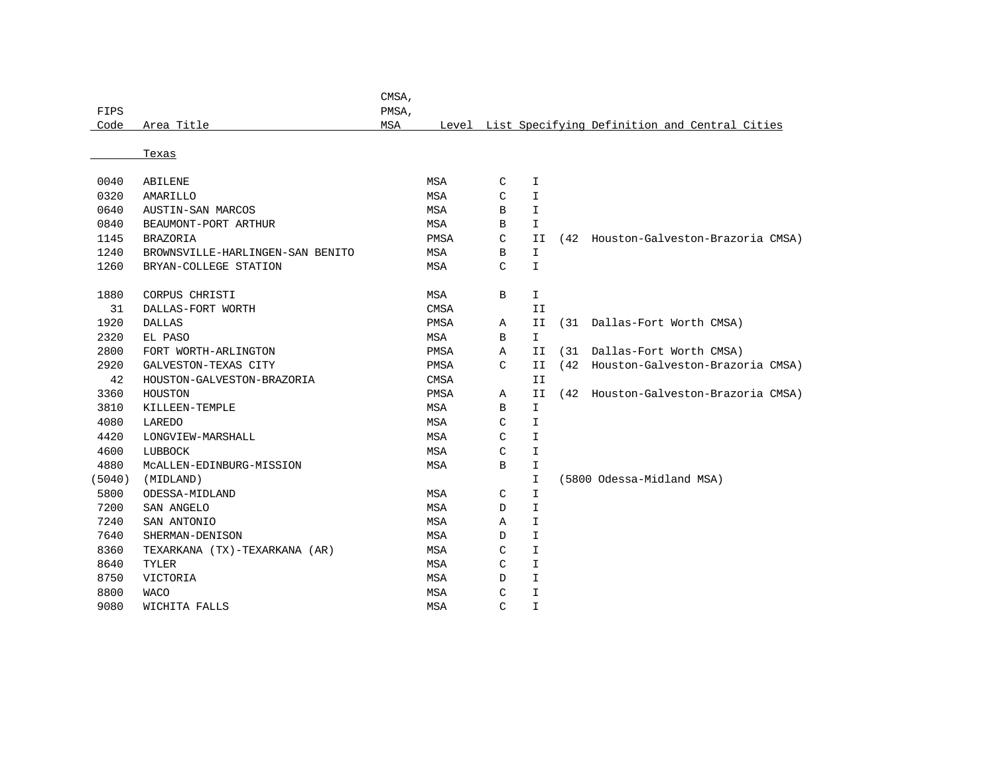| Code   | Area Title                       | MSA | Level       |   |               |      | List Specifying Definition and Central Cities |
|--------|----------------------------------|-----|-------------|---|---------------|------|-----------------------------------------------|
|        |                                  |     |             |   |               |      |                                               |
|        | Texas                            |     |             |   |               |      |                                               |
|        |                                  |     |             |   |               |      |                                               |
| 0040   | <b>ABILENE</b>                   |     | <b>MSA</b>  | C | I             |      |                                               |
| 0320   | AMARILLO                         |     | <b>MSA</b>  | C | I             |      |                                               |
| 0640   | AUSTIN-SAN MARCOS                |     | <b>MSA</b>  | В | I             |      |                                               |
| 0840   | BEAUMONT-PORT ARTHUR             |     | MSA         | В | I.            |      |                                               |
| 1145   | <b>BRAZORIA</b>                  |     | <b>PMSA</b> | C | II            |      | (42 Houston-Galveston-Brazoria CMSA)          |
| 1240   | BROWNSVILLE-HARLINGEN-SAN BENITO |     | MSA         | В | I.            |      |                                               |
| 1260   | BRYAN-COLLEGE STATION            |     | <b>MSA</b>  | C | I             |      |                                               |
|        |                                  |     |             |   |               |      |                                               |
| 1880   | CORPUS CHRISTI                   |     | MSA         | В | I             |      |                                               |
| 31     | DALLAS-FORT WORTH                |     | <b>CMSA</b> |   | II            |      |                                               |
| 1920   | <b>DALLAS</b>                    |     | PMSA        | Α | ΙI            |      | (31 Dallas-Fort Worth CMSA)                   |
| 2320   | EL PASO                          |     | <b>MSA</b>  | В | I.            |      |                                               |
| 2800   | FORT WORTH-ARLINGTON             |     | PMSA        | Α | II            | (31) | Dallas-Fort Worth CMSA)                       |
| 2920   | GALVESTON-TEXAS CITY             |     | PMSA        | C | II            | (42) | Houston-Galveston-Brazoria CMSA)              |
| 42     | HOUSTON-GALVESTON-BRAZORIA       |     | <b>CMSA</b> |   | II            |      |                                               |
| 3360   | HOUSTON                          |     | PMSA        | Α | ΙI            |      | (42 Houston-Galveston-Brazoria CMSA)          |
| 3810   | KILLEEN-TEMPLE                   |     | MSA         | В | I.            |      |                                               |
| 4080   | LAREDO                           |     | <b>MSA</b>  | C | I             |      |                                               |
| 4420   | LONGVIEW-MARSHALL                |     | <b>MSA</b>  | C | I             |      |                                               |
| 4600   | LUBBOCK                          |     | MSA         | C | I.            |      |                                               |
| 4880   | MCALLEN-EDINBURG-MISSION         |     | MSA         | B | I             |      |                                               |
| (5040) | (MIDLAND)                        |     |             |   | $\mathbb{I}$  |      | (5800 Odessa-Midland MSA)                     |
| 5800   | ODESSA-MIDLAND                   |     | <b>MSA</b>  | C | $\mathbbm{I}$ |      |                                               |
| 7200   | SAN ANGELO                       |     | MSA         | D | I             |      |                                               |
| 7240   | SAN ANTONIO                      |     | <b>MSA</b>  | Α | I             |      |                                               |
| 7640   | SHERMAN-DENISON                  |     | MSA         | D | I             |      |                                               |
| 8360   | TEXARKANA (TX)-TEXARKANA (AR)    |     | <b>MSA</b>  | C | I             |      |                                               |
| 8640   | <b>TYLER</b>                     |     | MSA         | C | I             |      |                                               |
| 8750   | VICTORIA                         |     | <b>MSA</b>  | D | I             |      |                                               |
| 8800   | <b>WACO</b>                      |     | <b>MSA</b>  | C | T.            |      |                                               |
| 9080   | WICHITA FALLS                    |     | <b>MSA</b>  | C | $\mathbf{I}$  |      |                                               |

CMSA,

FIPS PMSA,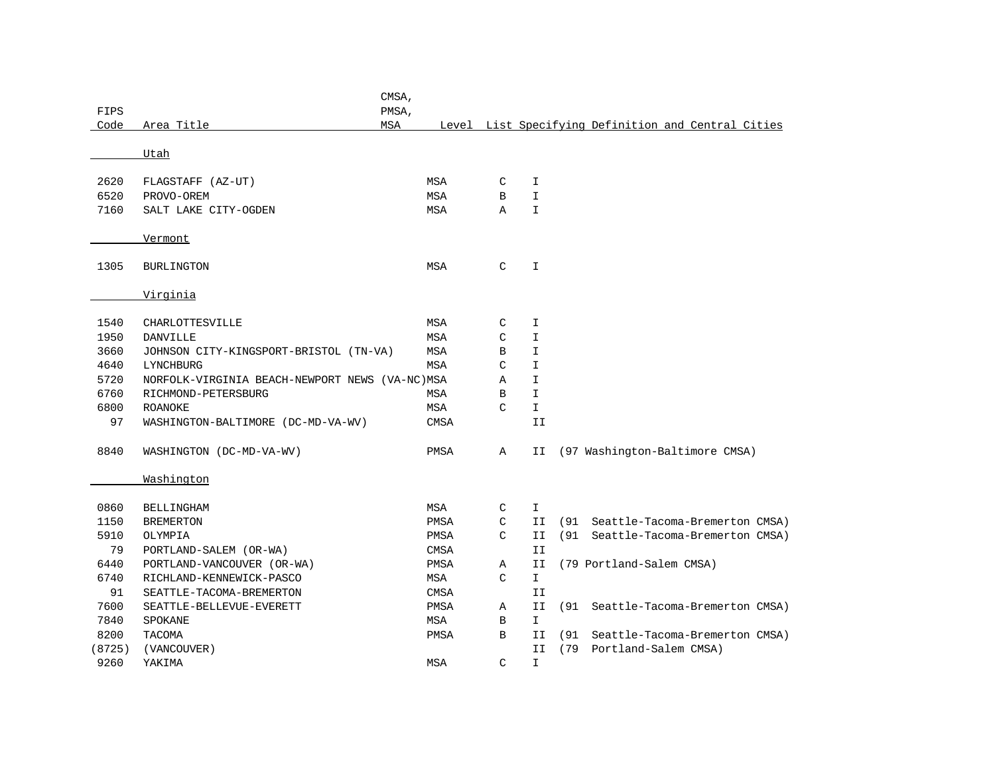|        |                                                | CMSA, |             |               |               |      |                          |                                                     |
|--------|------------------------------------------------|-------|-------------|---------------|---------------|------|--------------------------|-----------------------------------------------------|
| FIPS   |                                                | PMSA, |             |               |               |      |                          |                                                     |
| Code   | Area Title<br><b>MSA</b>                       |       |             |               |               |      |                          | Level List Specifying Definition and Central Cities |
|        | Utah                                           |       |             |               |               |      |                          |                                                     |
|        |                                                |       |             |               |               |      |                          |                                                     |
| 2620   | FLAGSTAFF (AZ-UT)                              |       | MSA         | C             | I             |      |                          |                                                     |
| 6520   | PROVO-OREM                                     |       | <b>MSA</b>  | B             | $\mathbbm{I}$ |      |                          |                                                     |
| 7160   | SALT LAKE CITY-OGDEN                           |       | MSA         | Α             | $\mathbbm{I}$ |      |                          |                                                     |
|        |                                                |       |             |               |               |      |                          |                                                     |
|        | Vermont                                        |       |             |               |               |      |                          |                                                     |
| 1305   | BURLINGTON                                     |       | MSA         | $\mathcal{C}$ | $\mathbf I$   |      |                          |                                                     |
|        |                                                |       |             |               |               |      |                          |                                                     |
|        | Virginia                                       |       |             |               |               |      |                          |                                                     |
|        |                                                |       |             |               |               |      |                          |                                                     |
| 1540   | CHARLOTTESVILLE                                |       | MSA         | C             | I             |      |                          |                                                     |
| 1950   | <b>DANVILLE</b>                                |       | MSA         | C             | I             |      |                          |                                                     |
| 3660   | JOHNSON CITY-KINGSPORT-BRISTOL (TN-VA)         |       | <b>MSA</b>  | B             | $\mathbbm{I}$ |      |                          |                                                     |
| 4640   | LYNCHBURG                                      |       | <b>MSA</b>  | C             | $\mathbbm{I}$ |      |                          |                                                     |
| 5720   | NORFOLK-VIRGINIA BEACH-NEWPORT NEWS (VA-NC)MSA |       |             | Α             | $\mathbbm{I}$ |      |                          |                                                     |
| 6760   | RICHMOND-PETERSBURG                            |       | MSA         | B             | $\mathbbm{I}$ |      |                          |                                                     |
| 6800   | <b>ROANOKE</b>                                 |       | MSA         | C             | $\mathbf I$   |      |                          |                                                     |
| 97     | WASHINGTON-BALTIMORE (DC-MD-VA-WV)             |       | <b>CMSA</b> |               | II            |      |                          |                                                     |
| 8840   | WASHINGTON (DC-MD-VA-WV)                       |       | PMSA        | Α             | II            |      |                          | (97 Washington-Baltimore CMSA)                      |
|        |                                                |       |             |               |               |      |                          |                                                     |
|        | Washington                                     |       |             |               |               |      |                          |                                                     |
|        |                                                |       |             |               |               |      |                          |                                                     |
| 0860   | BELLINGHAM                                     |       | MSA         | C             | I.            |      |                          |                                                     |
| 1150   | <b>BREMERTON</b>                               |       | PMSA        | C             | II            | (91  |                          | Seattle-Tacoma-Bremerton CMSA)                      |
| 5910   | OLYMPIA                                        |       | PMSA        | C             | II            | (91) |                          | Seattle-Tacoma-Bremerton CMSA)                      |
| 79     | PORTLAND-SALEM (OR-WA)                         |       | <b>CMSA</b> |               | II            |      |                          |                                                     |
| 6440   | PORTLAND-VANCOUVER (OR-WA)                     |       | PMSA        | Α             | II            |      | (79 Portland-Salem CMSA) |                                                     |
| 6740   | RICHLAND-KENNEWICK-PASCO                       |       | MSA         | C             | $\mathbf{I}$  |      |                          |                                                     |
| 91     | SEATTLE-TACOMA-BREMERTON                       |       | <b>CMSA</b> |               | II            |      |                          |                                                     |
| 7600   | SEATTLE-BELLEVUE-EVERETT                       |       | PMSA        | Α             | II            | (91  |                          | Seattle-Tacoma-Bremerton CMSA)                      |
| 7840   | SPOKANE                                        |       | MSA         | B             | $\mathbf{I}$  |      |                          |                                                     |
| 8200   | TACOMA                                         |       | PMSA        | B             | II            | (91  |                          | Seattle-Tacoma-Bremerton CMSA)                      |
| (8725) | (VANCOUVER)                                    |       |             |               | II            | (79  | Portland-Salem CMSA)     |                                                     |
| 9260   | YAKIMA                                         |       | <b>MSA</b>  | $\mathcal{C}$ | $\mathbbm{I}$ |      |                          |                                                     |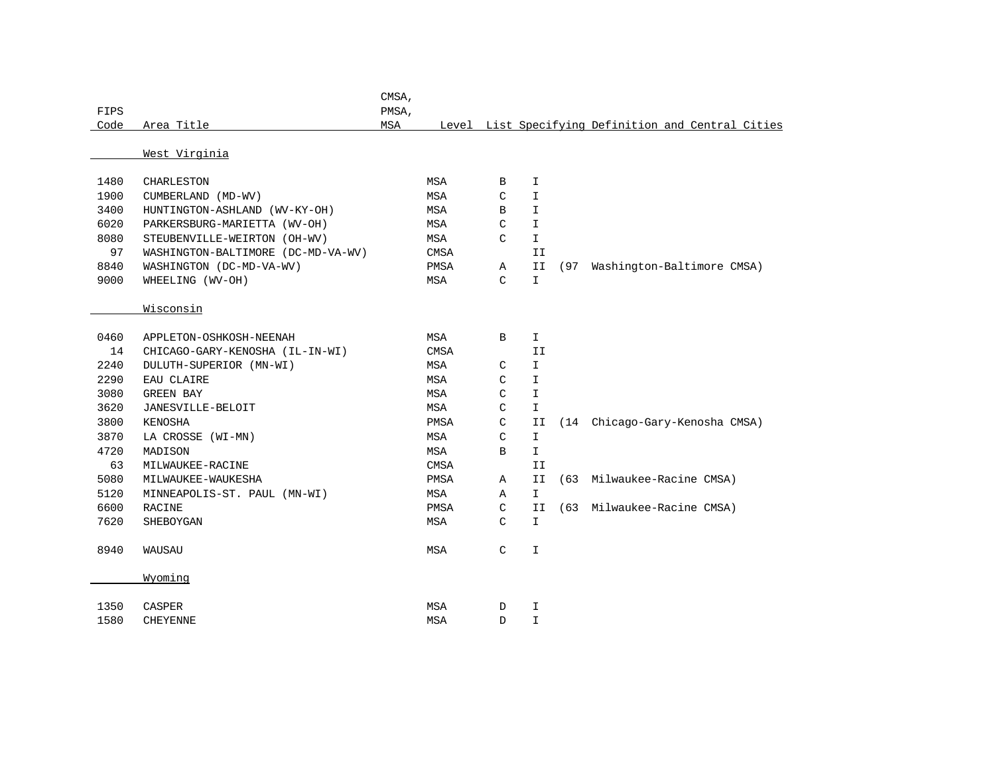| FIPS |                                    | CMSA,<br>PMSA, |             |               |               |      |                                                     |
|------|------------------------------------|----------------|-------------|---------------|---------------|------|-----------------------------------------------------|
| Code | Area Title                         | MSA            |             |               |               |      | Level List Specifying Definition and Central Cities |
|      |                                    |                |             |               |               |      |                                                     |
|      | West Virginia                      |                |             |               |               |      |                                                     |
|      |                                    |                |             |               |               |      |                                                     |
| 1480 | CHARLESTON                         |                | MSA         | B             | I             |      |                                                     |
| 1900 | CUMBERLAND (MD-WV)                 |                | MSA         | C             | I             |      |                                                     |
| 3400 | HUNTINGTON-ASHLAND (WV-KY-OH)      |                | MSA         | В             | $\mathbbm{I}$ |      |                                                     |
| 6020 | PARKERSBURG-MARIETTA (WV-OH)       |                | MSA         | C             | $\mathbbm{I}$ |      |                                                     |
| 8080 | STEUBENVILLE-WEIRTON (OH-WV)       |                | MSA         | $\mathsf C$   | $\mathbbm{1}$ |      |                                                     |
| 97   | WASHINGTON-BALTIMORE (DC-MD-VA-WV) |                | CMSA        |               | II            |      |                                                     |
| 8840 | WASHINGTON (DC-MD-VA-WV)           |                | PMSA        | Α             | II            | (97) | Washington-Baltimore CMSA)                          |
| 9000 | WHEELING (WV-OH)                   |                | MSA         | $\mathcal{C}$ | $\mathbbm{I}$ |      |                                                     |
|      |                                    |                |             |               |               |      |                                                     |
|      | Wisconsin                          |                |             |               |               |      |                                                     |
|      |                                    |                |             |               |               |      |                                                     |
| 0460 | APPLETON-OSHKOSH-NEENAH            |                | MSA         | В             | I.            |      |                                                     |
| 14   | CHICAGO-GARY-KENOSHA (IL-IN-WI)    |                | <b>CMSA</b> |               | II            |      |                                                     |
| 2240 | DULUTH-SUPERIOR (MN-WI)            |                | MSA         | C             | $\mathbbm{I}$ |      |                                                     |
| 2290 | EAU CLAIRE                         |                | MSA         | C             | $\mathbbm{I}$ |      |                                                     |
| 3080 | GREEN BAY                          |                | MSA         | C             | $\mathbbm{I}$ |      |                                                     |
| 3620 | JANESVILLE-BELOIT                  |                | MSA         | C             | $\mathbbm{I}$ |      |                                                     |
| 3800 | KENOSHA                            |                | PMSA        | C             | II            | (14) | Chicago-Gary-Kenosha CMSA)                          |
| 3870 | LA CROSSE (WI-MN)                  |                | MSA         | C             | $\mathbbm{1}$ |      |                                                     |
| 4720 | MADISON                            |                | MSA         | B             | $\mathbf{I}$  |      |                                                     |
| 63   | MILWAUKEE-RACINE                   |                | <b>CMSA</b> |               | II            |      |                                                     |
| 5080 | MILWAUKEE-WAUKESHA                 |                | PMSA        | Α             | II            | (63) | Milwaukee-Racine CMSA)                              |
| 5120 | MINNEAPOLIS-ST. PAUL (MN-WI)       |                | MSA         | Α             | $\mathbf{I}$  |      |                                                     |
| 6600 | RACINE                             |                | PMSA        | C             | II            | (63) | Milwaukee-Racine CMSA)                              |
| 7620 | SHEBOYGAN                          |                | MSA         | C             | $\mathbbm{I}$ |      |                                                     |
|      |                                    |                |             |               |               |      |                                                     |
| 8940 | <b>WAUSAU</b>                      |                | MSA         | C             | $\mathbbm{I}$ |      |                                                     |
|      |                                    |                |             |               |               |      |                                                     |
|      | Wyoming                            |                |             |               |               |      |                                                     |
| 1350 | <b>CASPER</b>                      |                | <b>MSA</b>  | D             | I             |      |                                                     |
| 1580 |                                    |                | MSA         | D             | $\mathbbm{I}$ |      |                                                     |
|      | <b>CHEYENNE</b>                    |                |             |               |               |      |                                                     |